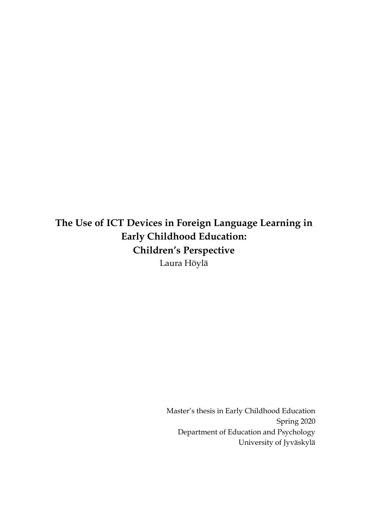**The Use of ICT Devices in Foreign Language Learning in Early Childhood Education: Children's Perspective** Laura Höylä

> Master's thesis in Early Childhood Education Spring 2020 Department of Education and Psychology University of Jyväskylä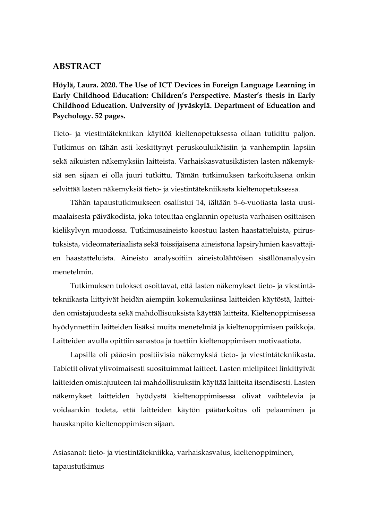### **ABSTRACT**

**Höylä, Laura. 2020. The Use of ICT Devices in Foreign Language Learning in Early Childhood Education: Children's Perspective. Master's thesis in Early Childhood Education. University of Jyväskylä. Department of Education and Psychology. 52 pages.**

Tieto- ja viestintätekniikan käyttöä kieltenopetuksessa ollaan tutkittu paljon. Tutkimus on tähän asti keskittynyt peruskouluikäisiin ja vanhempiin lapsiin sekä aikuisten näkemyksiin laitteista. Varhaiskasvatusikäisten lasten näkemyksiä sen sijaan ei olla juuri tutkittu. Tämän tutkimuksen tarkoituksena onkin selvittää lasten näkemyksiä tieto- ja viestintätekniikasta kieltenopetuksessa.

Tähän tapaustutkimukseen osallistui 14, iältään 5–6-vuotiasta lasta uusimaalaisesta päiväkodista, joka toteuttaa englannin opetusta varhaisen osittaisen kielikylvyn muodossa. Tutkimusaineisto koostuu lasten haastatteluista, piirustuksista, videomateriaalista sekä toissijaisena aineistona lapsiryhmien kasvattajien haastatteluista. Aineisto analysoitiin aineistolähtöisen sisällönanalyysin menetelmin.

Tutkimuksen tulokset osoittavat, että lasten näkemykset tieto- ja viestintätekniikasta liittyivät heidän aiempiin kokemuksiinsa laitteiden käytöstä, laitteiden omistajuudesta sekä mahdollisuuksista käyttää laitteita. Kieltenoppimisessa hyödynnettiin laitteiden lisäksi muita menetelmiä ja kieltenoppimisen paikkoja. Laitteiden avulla opittiin sanastoa ja tuettiin kieltenoppimisen motivaatiota.

Lapsilla oli pääosin positiivisia näkemyksiä tieto- ja viestintätekniikasta. Tabletit olivat ylivoimaisesti suosituimmat laitteet. Lasten mielipiteet linkittyivät laitteiden omistajuuteen tai mahdollisuuksiin käyttää laitteita itsenäisesti. Lasten näkemykset laitteiden hyödystä kieltenoppimisessa olivat vaihtelevia ja voidaankin todeta, että laitteiden käytön päätarkoitus oli pelaaminen ja hauskanpito kieltenoppimisen sijaan.

Asiasanat: tieto- ja viestintätekniikka, varhaiskasvatus, kieltenoppiminen, tapaustutkimus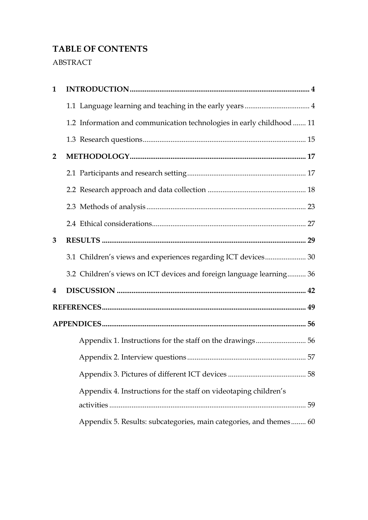# **TABLE OF CONTENTS**

# ABSTRACT

| $\mathbf{1}$            |                                                                       |  |  |  |  |
|-------------------------|-----------------------------------------------------------------------|--|--|--|--|
|                         |                                                                       |  |  |  |  |
|                         | 1.2 Information and communication technologies in early childhood  11 |  |  |  |  |
|                         |                                                                       |  |  |  |  |
| $\overline{2}$          |                                                                       |  |  |  |  |
|                         |                                                                       |  |  |  |  |
|                         |                                                                       |  |  |  |  |
|                         |                                                                       |  |  |  |  |
|                         |                                                                       |  |  |  |  |
| 3                       |                                                                       |  |  |  |  |
|                         | 3.1 Children's views and experiences regarding ICT devices 30         |  |  |  |  |
|                         | 3.2 Children's views on ICT devices and foreign language learning 36  |  |  |  |  |
| $\overline{\mathbf{4}}$ |                                                                       |  |  |  |  |
|                         |                                                                       |  |  |  |  |
|                         |                                                                       |  |  |  |  |
|                         | Appendix 1. Instructions for the staff on the drawings 56             |  |  |  |  |
|                         |                                                                       |  |  |  |  |
|                         |                                                                       |  |  |  |  |
|                         | Appendix 4. Instructions for the staff on videotaping children's      |  |  |  |  |
|                         |                                                                       |  |  |  |  |
|                         | Appendix 5. Results: subcategories, main categories, and themes 60    |  |  |  |  |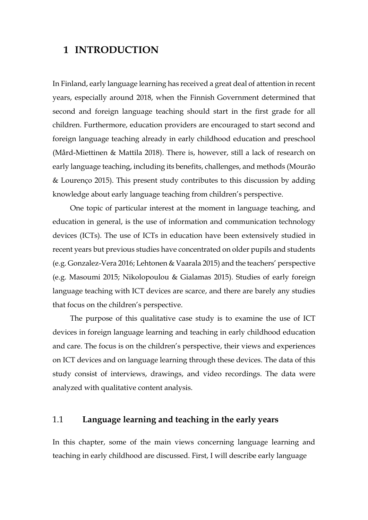# <span id="page-3-0"></span>**1 INTRODUCTION**

In Finland, early language learning has received a great deal of attention in recent years, especially around 2018, when the Finnish Government determined that second and foreign language teaching should start in the first grade for all children. Furthermore, education providers are encouraged to start second and foreign language teaching already in early childhood education and preschool (Mård-Miettinen & Mattila 2018). There is, however, still a lack of research on early language teaching, including its benefits, challenges, and methods (Mourão & Lourenço 2015). This present study contributes to this discussion by adding knowledge about early language teaching from children's perspective.

One topic of particular interest at the moment in language teaching, and education in general, is the use of information and communication technology devices (ICTs). The use of ICTs in education have been extensively studied in recent years but previous studies have concentrated on older pupils and students (e.g. Gonzalez-Vera 2016; Lehtonen & Vaarala 2015) and the teachers' perspective (e.g. Masoumi 2015; Nikolopoulou & Gialamas 2015). Studies of early foreign language teaching with ICT devices are scarce, and there are barely any studies that focus on the children's perspective.

The purpose of this qualitative case study is to examine the use of ICT devices in foreign language learning and teaching in early childhood education and care. The focus is on the children's perspective, their views and experiences on ICT devices and on language learning through these devices. The data of this study consist of interviews, drawings, and video recordings. The data were analyzed with qualitative content analysis.

# <span id="page-3-1"></span>1.1 **Language learning and teaching in the early years**

In this chapter, some of the main views concerning language learning and teaching in early childhood are discussed. First, I will describe early language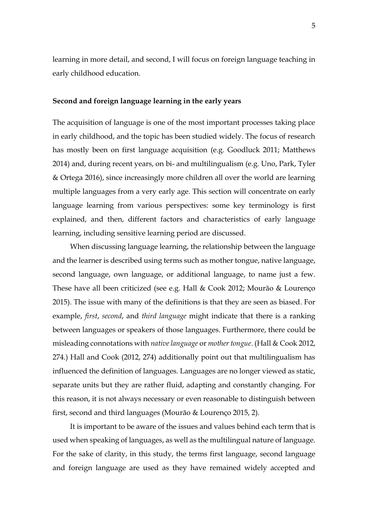learning in more detail, and second, I will focus on foreign language teaching in early childhood education.

#### **Second and foreign language learning in the early years**

The acquisition of language is one of the most important processes taking place in early childhood, and the topic has been studied widely. The focus of research has mostly been on first language acquisition (e.g. Goodluck 2011; Matthews 2014) and, during recent years, on bi- and multilingualism (e.g. Uno, Park, Tyler & Ortega 2016), since increasingly more children all over the world are learning multiple languages from a very early age. This section will concentrate on early language learning from various perspectives: some key terminology is first explained, and then, different factors and characteristics of early language learning, including sensitive learning period are discussed.

When discussing language learning, the relationship between the language and the learner is described using terms such as mother tongue, native language, second language, own language, or additional language, to name just a few. These have all been criticized (see e.g. Hall & Cook 2012; Mourão & Lourenço 2015). The issue with many of the definitions is that they are seen as biased. For example, *first*, *second*, and *third language* might indicate that there is a ranking between languages or speakers of those languages. Furthermore, there could be misleading connotations with *native language* or *mother tongue*. (Hall & Cook 2012, 274.) Hall and Cook (2012, 274) additionally point out that multilingualism has influenced the definition of languages. Languages are no longer viewed as static, separate units but they are rather fluid, adapting and constantly changing. For this reason, it is not always necessary or even reasonable to distinguish between first, second and third languages (Mourão & Lourenço 2015, 2).

It is important to be aware of the issues and values behind each term that is used when speaking of languages, as well as the multilingual nature of language. For the sake of clarity, in this study, the terms first language, second language and foreign language are used as they have remained widely accepted and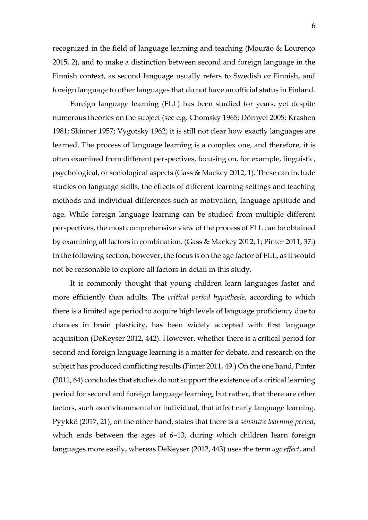recognized in the field of language learning and teaching (Mourão & Lourenço 2015, 2), and to make a distinction between second and foreign language in the Finnish context, as second language usually refers to Swedish or Finnish, and foreign language to other languages that do not have an official status in Finland.

Foreign language learning (FLL) has been studied for years, yet despite numerous theories on the subject (see e.g. Chomsky 1965; Dörnyei 2005; Krashen 1981; Skinner 1957; Vygotsky 1962) it is still not clear how exactly languages are learned. The process of language learning is a complex one, and therefore, it is often examined from different perspectives, focusing on, for example, linguistic, psychological, or sociological aspects (Gass & Mackey 2012, 1). These can include studies on language skills, the effects of different learning settings and teaching methods and individual differences such as motivation, language aptitude and age. While foreign language learning can be studied from multiple different perspectives, the most comprehensive view of the process of FLL can be obtained by examining all factors in combination. (Gass & Mackey 2012, 1; Pinter 2011, 37.) In the following section, however, the focus is on the age factor of FLL, as it would not be reasonable to explore all factors in detail in this study.

It is commonly thought that young children learn languages faster and more efficiently than adults. The *critical period hypothesis*, according to which there is a limited age period to acquire high levels of language proficiency due to chances in brain plasticity, has been widely accepted with first language acquisition (DeKeyser 2012, 442). However, whether there is a critical period for second and foreign language learning is a matter for debate, and research on the subject has produced conflicting results (Pinter 2011, 49.) On the one hand, Pinter (2011, 64) concludes that studies do not support the existence of a critical learning period for second and foreign language learning, but rather, that there are other factors, such as environmental or individual, that affect early language learning. Pyykkö (2017, 21), on the other hand, states that there is a *sensitive learning period*, which ends between the ages of 6–13, during which children learn foreign languages more easily, whereas DeKeyser (2012, 443) uses the term *age effect*, and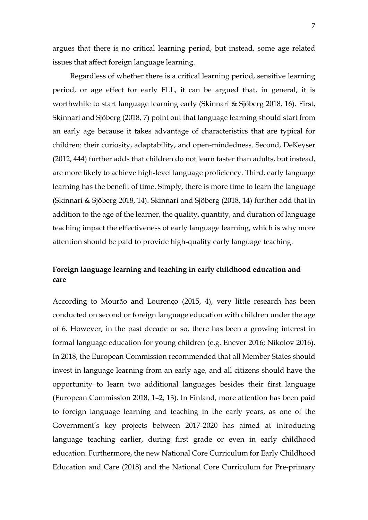argues that there is no critical learning period, but instead, some age related issues that affect foreign language learning.

Regardless of whether there is a critical learning period, sensitive learning period, or age effect for early FLL, it can be argued that, in general, it is worthwhile to start language learning early (Skinnari & Sjöberg 2018, 16). First, Skinnari and Sjöberg (2018, 7) point out that language learning should start from an early age because it takes advantage of characteristics that are typical for children: their curiosity, adaptability, and open-mindedness. Second, DeKeyser (2012, 444) further adds that children do not learn faster than adults, but instead, are more likely to achieve high-level language proficiency. Third, early language learning has the benefit of time. Simply, there is more time to learn the language (Skinnari & Sjöberg 2018, 14). Skinnari and Sjöberg (2018, 14) further add that in addition to the age of the learner, the quality, quantity, and duration of language teaching impact the effectiveness of early language learning, which is why more attention should be paid to provide high-quality early language teaching.

## **Foreign language learning and teaching in early childhood education and care**

According to Mourão and Lourenço (2015, 4), very little research has been conducted on second or foreign language education with children under the age of 6. However, in the past decade or so, there has been a growing interest in formal language education for young children (e.g. Enever 2016; Nikolov 2016). In 2018, the European Commission recommended that all Member States should invest in language learning from an early age, and all citizens should have the opportunity to learn two additional languages besides their first language (European Commission 2018, 1–2, 13). In Finland, more attention has been paid to foreign language learning and teaching in the early years, as one of the Government's key projects between 2017-2020 has aimed at introducing language teaching earlier, during first grade or even in early childhood education. Furthermore, the new National Core Curriculum for Early Childhood Education and Care (2018) and the National Core Curriculum for Pre-primary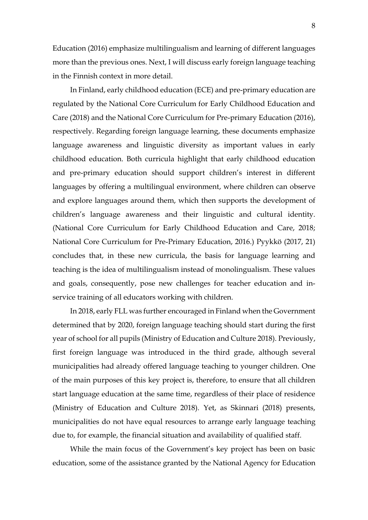Education (2016) emphasize multilingualism and learning of different languages more than the previous ones. Next, I will discuss early foreign language teaching in the Finnish context in more detail.

In Finland, early childhood education (ECE) and pre-primary education are regulated by the National Core Curriculum for Early Childhood Education and Care (2018) and the National Core Curriculum for Pre-primary Education (2016), respectively. Regarding foreign language learning, these documents emphasize language awareness and linguistic diversity as important values in early childhood education. Both curricula highlight that early childhood education and pre-primary education should support children's interest in different languages by offering a multilingual environment, where children can observe and explore languages around them, which then supports the development of children's language awareness and their linguistic and cultural identity. (National Core Curriculum for Early Childhood Education and Care, 2018; National Core Curriculum for Pre-Primary Education, 2016.) Pyykkö (2017, 21) concludes that, in these new curricula, the basis for language learning and teaching is the idea of multilingualism instead of monolingualism. These values and goals, consequently, pose new challenges for teacher education and inservice training of all educators working with children.

In 2018, early FLL was further encouraged in Finland when the Government determined that by 2020, foreign language teaching should start during the first year of school for all pupils (Ministry of Education and Culture 2018). Previously, first foreign language was introduced in the third grade, although several municipalities had already offered language teaching to younger children. One of the main purposes of this key project is, therefore, to ensure that all children start language education at the same time, regardless of their place of residence (Ministry of Education and Culture 2018). Yet, as Skinnari (2018) presents, municipalities do not have equal resources to arrange early language teaching due to, for example, the financial situation and availability of qualified staff.

While the main focus of the Government's key project has been on basic education, some of the assistance granted by the National Agency for Education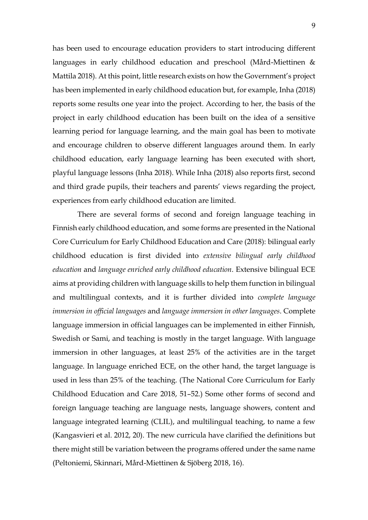has been used to encourage education providers to start introducing different languages in early childhood education and preschool (Mård-Miettinen & Mattila 2018). At this point, little research exists on how the Government's project has been implemented in early childhood education but, for example, Inha (2018) reports some results one year into the project. According to her, the basis of the project in early childhood education has been built on the idea of a sensitive learning period for language learning, and the main goal has been to motivate and encourage children to observe different languages around them. In early childhood education, early language learning has been executed with short, playful language lessons (Inha 2018). While Inha (2018) also reports first, second and third grade pupils, their teachers and parents' views regarding the project, experiences from early childhood education are limited.

 There are several forms of second and foreign language teaching in Finnish early childhood education, and some forms are presented in the National Core Curriculum for Early Childhood Education and Care (2018): bilingual early childhood education is first divided into *extensive bilingual early childhood education* and *language enriched early childhood education*. Extensive bilingual ECE aims at providing children with language skills to help them function in bilingual and multilingual contexts, and it is further divided into *complete language immersion in official languages* and *language immersion in other languages*. Complete language immersion in official languages can be implemented in either Finnish, Swedish or Sami, and teaching is mostly in the target language. With language immersion in other languages, at least 25% of the activities are in the target language. In language enriched ECE, on the other hand, the target language is used in less than 25% of the teaching. (The National Core Curriculum for Early Childhood Education and Care 2018, 51–52.) Some other forms of second and foreign language teaching are language nests, language showers, content and language integrated learning (CLIL), and multilingual teaching, to name a few (Kangasvieri et al. 2012, 20). The new curricula have clarified the definitions but there might still be variation between the programs offered under the same name (Peltoniemi, Skinnari, Mård-Miettinen & Sjöberg 2018, 16).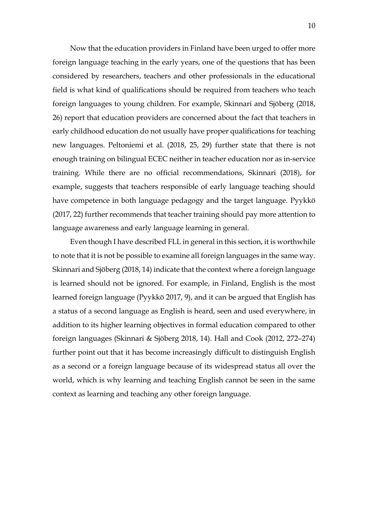Now that the education providers in Finland have been urged to offer more foreign language teaching in the early years, one of the questions that has been considered by researchers, teachers and other professionals in the educational field is what kind of qualifications should be required from teachers who teach foreign languages to young children. For example, Skinnari and Sjöberg (2018, 26) report that education providers are concerned about the fact that teachers in early childhood education do not usually have proper qualifications for teaching new languages. Peltoniemi et al. (2018, 25, 29) further state that there is not enough training on bilingual ECEC neither in teacher education nor as in-service training. While there are no official recommendations, Skinnari (2018), for example, suggests that teachers responsible of early language teaching should have competence in both language pedagogy and the target language. Pyykkö (2017, 22) further recommends that teacher training should pay more attention to language awareness and early language learning in general.

Even though I have described FLL in general in this section, it is worthwhile to note that it is not be possible to examine all foreign languages in the same way. Skinnari and Sjöberg (2018, 14) indicate that the context where a foreign language is learned should not be ignored. For example, in Finland, English is the most learned foreign language (Pyykkö 2017, 9), and it can be argued that English has a status of a second language as English is heard, seen and used everywhere, in addition to its higher learning objectives in formal education compared to other foreign languages (Skinnari & Sjöberg 2018, 14). Hall and Cook (2012, 272–274) further point out that it has become increasingly difficult to distinguish English as a second or a foreign language because of its widespread status all over the world, which is why learning and teaching English cannot be seen in the same context as learning and teaching any other foreign language.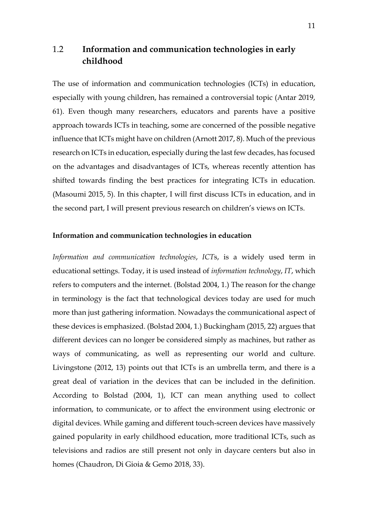# <span id="page-10-0"></span>1.2 **Information and communication technologies in early childhood**

The use of information and communication technologies (ICTs) in education, especially with young children, has remained a controversial topic (Antar 2019, 61). Even though many researchers, educators and parents have a positive approach towards ICTs in teaching, some are concerned of the possible negative influence that ICTs might have on children (Arnott 2017, 8). Much of the previous research on ICTs in education, especially during the last few decades, has focused on the advantages and disadvantages of ICTs, whereas recently attention has shifted towards finding the best practices for integrating ICTs in education. (Masoumi 2015, 5). In this chapter, I will first discuss ICTs in education, and in the second part, I will present previous research on children's views on ICTs.

#### **Information and communication technologies in education**

*Information and communication technologies*, *ICT*s, is a widely used term in educational settings. Today, it is used instead of *information technology*, *IT*, which refers to computers and the internet. (Bolstad 2004, 1.) The reason for the change in terminology is the fact that technological devices today are used for much more than just gathering information. Nowadays the communicational aspect of these devices is emphasized. (Bolstad 2004, 1.) Buckingham (2015, 22) argues that different devices can no longer be considered simply as machines, but rather as ways of communicating, as well as representing our world and culture. Livingstone (2012, 13) points out that ICTs is an umbrella term, and there is a great deal of variation in the devices that can be included in the definition. According to Bolstad (2004, 1), ICT can mean anything used to collect information, to communicate, or to affect the environment using electronic or digital devices. While gaming and different touch-screen devices have massively gained popularity in early childhood education, more traditional ICTs, such as televisions and radios are still present not only in daycare centers but also in homes (Chaudron, Di Gioia & Gemo 2018, 33).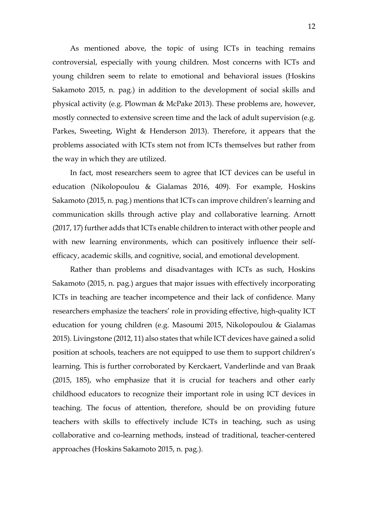As mentioned above, the topic of using ICTs in teaching remains controversial, especially with young children. Most concerns with ICTs and young children seem to relate to emotional and behavioral issues (Hoskins Sakamoto 2015, n. pag.) in addition to the development of social skills and physical activity (e.g. Plowman & McPake 2013). These problems are, however, mostly connected to extensive screen time and the lack of adult supervision (e.g. Parkes, Sweeting, Wight & Henderson 2013). Therefore, it appears that the problems associated with ICTs stem not from ICTs themselves but rather from the way in which they are utilized.

In fact, most researchers seem to agree that ICT devices can be useful in education (Nikolopoulou & Gialamas 2016, 409). For example, Hoskins Sakamoto (2015, n. pag.) mentions that ICTs can improve children's learning and communication skills through active play and collaborative learning. Arnott (2017, 17) further adds that ICTs enable children to interact with other people and with new learning environments, which can positively influence their selfefficacy, academic skills, and cognitive, social, and emotional development.

Rather than problems and disadvantages with ICTs as such, Hoskins Sakamoto (2015, n. pag.) argues that major issues with effectively incorporating ICTs in teaching are teacher incompetence and their lack of confidence. Many researchers emphasize the teachers' role in providing effective, high-quality ICT education for young children (e.g. Masoumi 2015, Nikolopoulou & Gialamas 2015). Livingstone (2012, 11) also states that while ICT devices have gained a solid position at schools, teachers are not equipped to use them to support children's learning. This is further corroborated by Kerckaert, Vanderlinde and van Braak (2015, 185), who emphasize that it is crucial for teachers and other early childhood educators to recognize their important role in using ICT devices in teaching. The focus of attention, therefore, should be on providing future teachers with skills to effectively include ICTs in teaching, such as using collaborative and co-learning methods, instead of traditional, teacher-centered approaches (Hoskins Sakamoto 2015, n. pag.).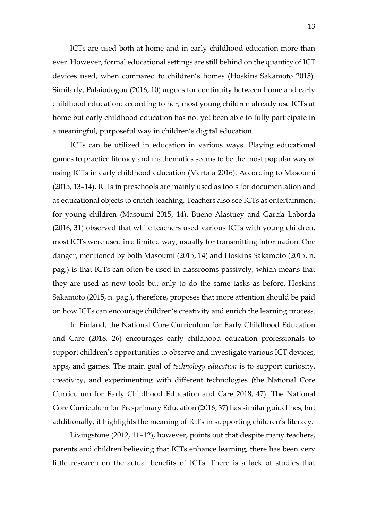ICTs are used both at home and in early childhood education more than ever. However, formal educational settings are still behind on the quantity of ICT devices used, when compared to children's homes (Hoskins Sakamoto 2015). Similarly, Palaiodogou (2016, 10) argues for continuity between home and early childhood education: according to her, most young children already use ICTs at home but early childhood education has not yet been able to fully participate in a meaningful, purposeful way in children's digital education.

ICTs can be utilized in education in various ways. Playing educational games to practice literacy and mathematics seems to be the most popular way of using ICTs in early childhood education (Mertala 2016). According to Masoumi (2015, 13–14), ICTs in preschools are mainly used as tools for documentation and as educational objects to enrich teaching. Teachers also see ICTs as entertainment for young children (Masoumi 2015, 14). Bueno-Alastuey and García Laborda (2016, 31) observed that while teachers used various ICTs with young children, most ICTs were used in a limited way, usually for transmitting information. One danger, mentioned by both Masoumi (2015, 14) and Hoskins Sakamoto (2015, n. pag.) is that ICTs can often be used in classrooms passively, which means that they are used as new tools but only to do the same tasks as before. Hoskins Sakamoto (2015, n. pag.), therefore, proposes that more attention should be paid on how ICTs can encourage children's creativity and enrich the learning process.

In Finland, the National Core Curriculum for Early Childhood Education and Care (2018, 26) encourages early childhood education professionals to support children's opportunities to observe and investigate various ICT devices, apps, and games. The main goal of *technology education* is to support curiosity, creativity, and experimenting with different technologies (the National Core Curriculum for Early Childhood Education and Care 2018, 47). The National Core Curriculum for Pre-primary Education (2016, 37) has similar guidelines, but additionally, it highlights the meaning of ICTs in supporting children's literacy.

Livingstone (2012, 11–12), however, points out that despite many teachers, parents and children believing that ICTs enhance learning, there has been very little research on the actual benefits of ICTs. There is a lack of studies that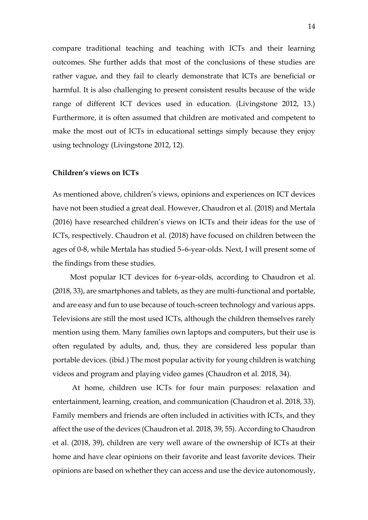compare traditional teaching and teaching with ICTs and their learning outcomes. She further adds that most of the conclusions of these studies are rather vague, and they fail to clearly demonstrate that ICTs are beneficial or harmful. It is also challenging to present consistent results because of the wide range of different ICT devices used in education. (Livingstone 2012, 13.) Furthermore, it is often assumed that children are motivated and competent to make the most out of ICTs in educational settings simply because they enjoy using technology (Livingstone 2012, 12).

#### **Children's views on ICTs**

As mentioned above, children's views, opinions and experiences on ICT devices have not been studied a great deal. However, Chaudron et al. (2018) and Mertala (2016) have researched children's views on ICTs and their ideas for the use of ICTs, respectively. Chaudron et al. (2018) have focused on children between the ages of 0-8, while Mertala has studied 5–6-year-olds. Next, I will present some of the findings from these studies.

Most popular ICT devices for 6-year-olds, according to Chaudron et al. (2018, 33), are smartphones and tablets, as they are multi-functional and portable, and are easy and fun to use because of touch-screen technology and various apps. Televisions are still the most used ICTs, although the children themselves rarely mention using them. Many families own laptops and computers, but their use is often regulated by adults, and, thus, they are considered less popular than portable devices. (ibid.) The most popular activity for young children is watching videos and program and playing video games (Chaudron et al. 2018, 34).

At home, children use ICTs for four main purposes: relaxation and entertainment, learning, creation, and communication (Chaudron et al. 2018, 33). Family members and friends are often included in activities with ICTs, and they affect the use of the devices (Chaudron et al. 2018, 39, 55). According to Chaudron et al. (2018, 39), children are very well aware of the ownership of ICTs at their home and have clear opinions on their favorite and least favorite devices. Their opinions are based on whether they can access and use the device autonomously,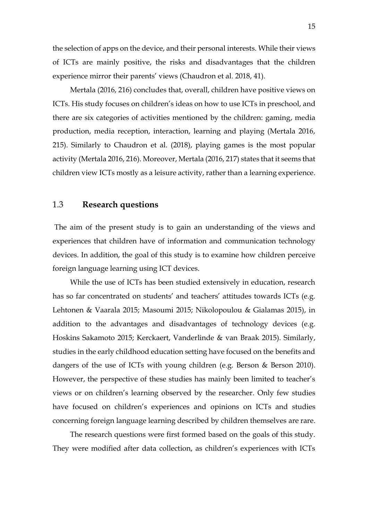the selection of apps on the device, and their personal interests. While their views of ICTs are mainly positive, the risks and disadvantages that the children experience mirror their parents' views (Chaudron et al. 2018, 41).

Mertala (2016, 216) concludes that, overall, children have positive views on ICTs. His study focuses on children's ideas on how to use ICTs in preschool, and there are six categories of activities mentioned by the children: gaming, media production, media reception, interaction, learning and playing (Mertala 2016, 215). Similarly to Chaudron et al. (2018), playing games is the most popular activity (Mertala 2016, 216). Moreover, Mertala (2016, 217) states that it seems that children view ICTs mostly as a leisure activity, rather than a learning experience.

### <span id="page-14-0"></span>1.3 **Research questions**

The aim of the present study is to gain an understanding of the views and experiences that children have of information and communication technology devices. In addition, the goal of this study is to examine how children perceive foreign language learning using ICT devices.

While the use of ICTs has been studied extensively in education, research has so far concentrated on students' and teachers' attitudes towards ICTs (e.g. Lehtonen & Vaarala 2015; Masoumi 2015; Nikolopoulou & Gialamas 2015), in addition to the advantages and disadvantages of technology devices (e.g. Hoskins Sakamoto 2015; Kerckaert, Vanderlinde & van Braak 2015). Similarly, studies in the early childhood education setting have focused on the benefits and dangers of the use of ICTs with young children (e.g. Berson & Berson 2010). However, the perspective of these studies has mainly been limited to teacher's views or on children's learning observed by the researcher. Only few studies have focused on children's experiences and opinions on ICTs and studies concerning foreign language learning described by children themselves are rare.

The research questions were first formed based on the goals of this study. They were modified after data collection, as children's experiences with ICTs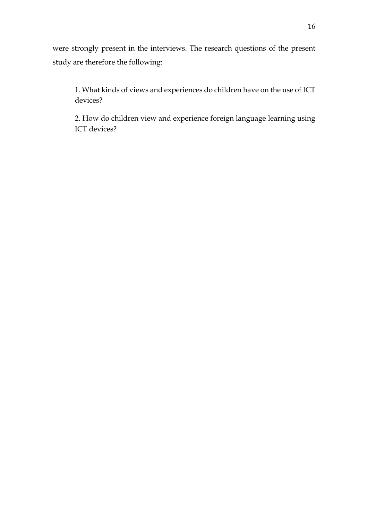were strongly present in the interviews. The research questions of the present study are therefore the following:

1. What kinds of views and experiences do children have on the use of ICT devices?

2. How do children view and experience foreign language learning using ICT devices?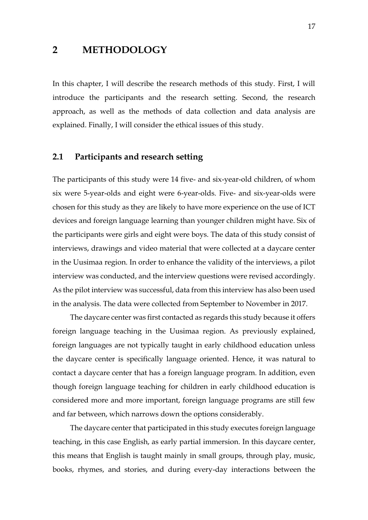## <span id="page-16-0"></span>**2 METHODOLOGY**

In this chapter, I will describe the research methods of this study. First, I will introduce the participants and the research setting. Second, the research approach, as well as the methods of data collection and data analysis are explained. Finally, I will consider the ethical issues of this study.

#### <span id="page-16-1"></span>**2.1 Participants and research setting**

The participants of this study were 14 five- and six-year-old children, of whom six were 5-year-olds and eight were 6-year-olds. Five- and six-year-olds were chosen for this study as they are likely to have more experience on the use of ICT devices and foreign language learning than younger children might have. Six of the participants were girls and eight were boys. The data of this study consist of interviews, drawings and video material that were collected at a daycare center in the Uusimaa region. In order to enhance the validity of the interviews, a pilot interview was conducted, and the interview questions were revised accordingly. As the pilot interview was successful, data from this interview has also been used in the analysis. The data were collected from September to November in 2017.

The daycare center was first contacted as regards this study because it offers foreign language teaching in the Uusimaa region. As previously explained, foreign languages are not typically taught in early childhood education unless the daycare center is specifically language oriented. Hence, it was natural to contact a daycare center that has a foreign language program. In addition, even though foreign language teaching for children in early childhood education is considered more and more important, foreign language programs are still few and far between, which narrows down the options considerably.

The daycare center that participated in this study executes foreign language teaching, in this case English, as early partial immersion. In this daycare center, this means that English is taught mainly in small groups, through play, music, books, rhymes, and stories, and during every-day interactions between the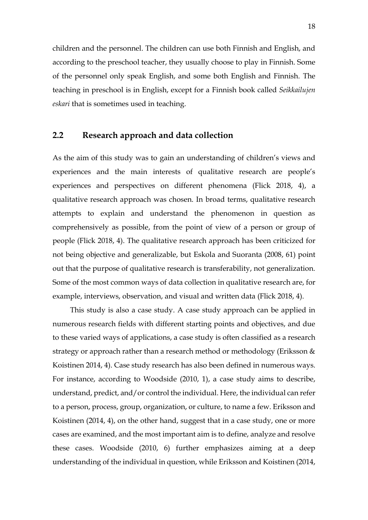children and the personnel. The children can use both Finnish and English, and according to the preschool teacher, they usually choose to play in Finnish. Some of the personnel only speak English, and some both English and Finnish. The teaching in preschool is in English, except for a Finnish book called *Seikkailujen eskari* that is sometimes used in teaching.

## <span id="page-17-0"></span>**2.2 Research approach and data collection**

As the aim of this study was to gain an understanding of children's views and experiences and the main interests of qualitative research are people's experiences and perspectives on different phenomena (Flick 2018, 4), a qualitative research approach was chosen. In broad terms, qualitative research attempts to explain and understand the phenomenon in question as comprehensively as possible, from the point of view of a person or group of people (Flick 2018, 4). The qualitative research approach has been criticized for not being objective and generalizable, but Eskola and Suoranta (2008, 61) point out that the purpose of qualitative research is transferability, not generalization. Some of the most common ways of data collection in qualitative research are, for example, interviews, observation, and visual and written data (Flick 2018, 4).

This study is also a case study. A case study approach can be applied in numerous research fields with different starting points and objectives, and due to these varied ways of applications, a case study is often classified as a research strategy or approach rather than a research method or methodology (Eriksson & Koistinen 2014, 4). Case study research has also been defined in numerous ways. For instance, according to Woodside (2010, 1), a case study aims to describe, understand, predict, and/or control the individual. Here, the individual can refer to a person, process, group, organization, or culture, to name a few. Eriksson and Koistinen (2014, 4), on the other hand, suggest that in a case study, one or more cases are examined, and the most important aim is to define, analyze and resolve these cases. Woodside (2010, 6) further emphasizes aiming at a deep understanding of the individual in question, while Eriksson and Koistinen (2014,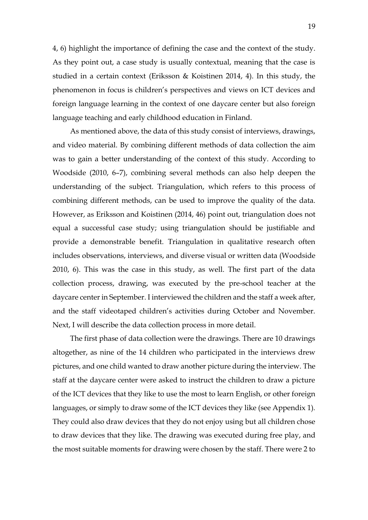4, 6) highlight the importance of defining the case and the context of the study. As they point out, a case study is usually contextual, meaning that the case is studied in a certain context (Eriksson & Koistinen 2014, 4). In this study, the phenomenon in focus is children's perspectives and views on ICT devices and foreign language learning in the context of one daycare center but also foreign language teaching and early childhood education in Finland.

As mentioned above, the data of this study consist of interviews, drawings, and video material. By combining different methods of data collection the aim was to gain a better understanding of the context of this study. According to Woodside (2010, 6–7), combining several methods can also help deepen the understanding of the subject. Triangulation, which refers to this process of combining different methods, can be used to improve the quality of the data. However, as Eriksson and Koistinen (2014, 46) point out, triangulation does not equal a successful case study; using triangulation should be justifiable and provide a demonstrable benefit. Triangulation in qualitative research often includes observations, interviews, and diverse visual or written data (Woodside 2010, 6). This was the case in this study, as well. The first part of the data collection process, drawing, was executed by the pre-school teacher at the daycare center in September. I interviewed the children and the staff a week after, and the staff videotaped children's activities during October and November. Next, I will describe the data collection process in more detail.

The first phase of data collection were the drawings. There are 10 drawings altogether, as nine of the 14 children who participated in the interviews drew pictures, and one child wanted to draw another picture during the interview. The staff at the daycare center were asked to instruct the children to draw a picture of the ICT devices that they like to use the most to learn English, or other foreign languages, or simply to draw some of the ICT devices they like (see Appendix 1)*.* They could also draw devices that they do not enjoy using but all children chose to draw devices that they like. The drawing was executed during free play, and the most suitable moments for drawing were chosen by the staff. There were 2 to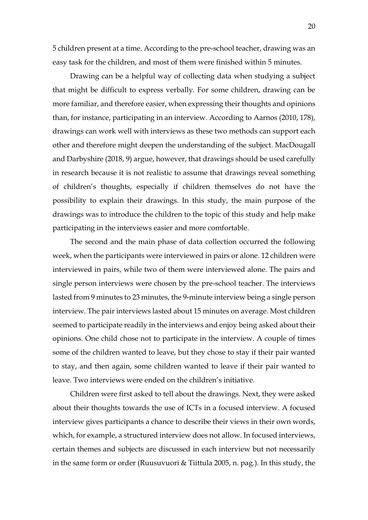5 children present at a time. According to the pre-school teacher, drawing was an easy task for the children, and most of them were finished within 5 minutes.

Drawing can be a helpful way of collecting data when studying a subject that might be difficult to express verbally. For some children, drawing can be more familiar, and therefore easier, when expressing their thoughts and opinions than, for instance, participating in an interview. According to Aarnos (2010, 178), drawings can work well with interviews as these two methods can support each other and therefore might deepen the understanding of the subject. MacDougall and Darbyshire (2018, 9) argue, however, that drawings should be used carefully in research because it is not realistic to assume that drawings reveal something of children's thoughts, especially if children themselves do not have the possibility to explain their drawings. In this study, the main purpose of the drawings was to introduce the children to the topic of this study and help make participating in the interviews easier and more comfortable.

The second and the main phase of data collection occurred the following week, when the participants were interviewed in pairs or alone. 12 children were interviewed in pairs, while two of them were interviewed alone. The pairs and single person interviews were chosen by the pre-school teacher. The interviews lasted from 9 minutes to 23 minutes, the 9-minute interview being a single person interview. The pair interviews lasted about 15 minutes on average. Most children seemed to participate readily in the interviews and enjoy being asked about their opinions. One child chose not to participate in the interview. A couple of times some of the children wanted to leave, but they chose to stay if their pair wanted to stay, and then again, some children wanted to leave if their pair wanted to leave. Two interviews were ended on the children's initiative.

Children were first asked to tell about the drawings. Next, they were asked about their thoughts towards the use of ICTs in a focused interview. A focused interview gives participants a chance to describe their views in their own words, which, for example, a structured interview does not allow. In focused interviews, certain themes and subjects are discussed in each interview but not necessarily in the same form or order (Ruusuvuori & Tiittula 2005, n. pag.). In this study, the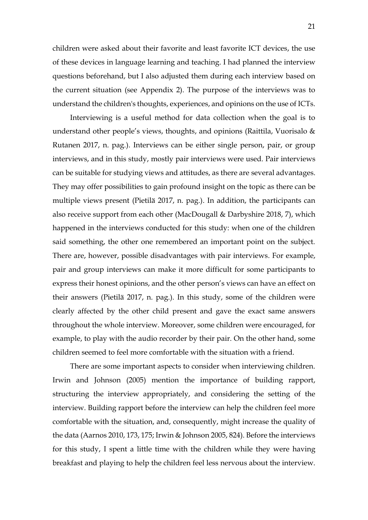children were asked about their favorite and least favorite ICT devices, the use of these devices in language learning and teaching. I had planned the interview questions beforehand, but I also adjusted them during each interview based on the current situation (see Appendix 2). The purpose of the interviews was to understand the children's thoughts, experiences, and opinions on the use of ICTs.

Interviewing is a useful method for data collection when the goal is to understand other people's views, thoughts, and opinions (Raittila, Vuorisalo & Rutanen 2017, n. pag.). Interviews can be either single person, pair, or group interviews, and in this study, mostly pair interviews were used. Pair interviews can be suitable for studying views and attitudes, as there are several advantages. They may offer possibilities to gain profound insight on the topic as there can be multiple views present (Pietilä 2017, n. pag.). In addition, the participants can also receive support from each other (MacDougall & Darbyshire 2018, 7), which happened in the interviews conducted for this study: when one of the children said something, the other one remembered an important point on the subject. There are, however, possible disadvantages with pair interviews. For example, pair and group interviews can make it more difficult for some participants to express their honest opinions, and the other person's views can have an effect on their answers (Pietilä 2017, n. pag.). In this study, some of the children were clearly affected by the other child present and gave the exact same answers throughout the whole interview. Moreover, some children were encouraged, for example, to play with the audio recorder by their pair. On the other hand, some children seemed to feel more comfortable with the situation with a friend.

There are some important aspects to consider when interviewing children. Irwin and Johnson (2005) mention the importance of building rapport, structuring the interview appropriately, and considering the setting of the interview. Building rapport before the interview can help the children feel more comfortable with the situation, and, consequently, might increase the quality of the data (Aarnos 2010, 173, 175; Irwin & Johnson 2005, 824). Before the interviews for this study, I spent a little time with the children while they were having breakfast and playing to help the children feel less nervous about the interview.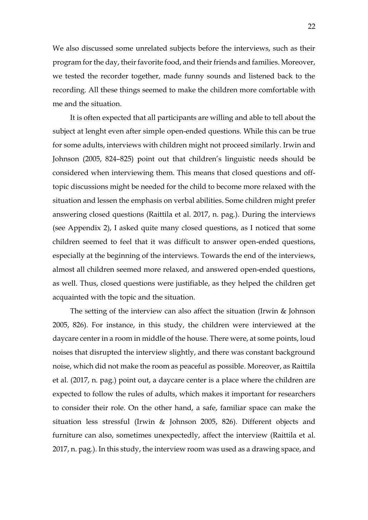We also discussed some unrelated subjects before the interviews, such as their program for the day, their favorite food, and their friends and families. Moreover, we tested the recorder together, made funny sounds and listened back to the recording. All these things seemed to make the children more comfortable with me and the situation.

It is often expected that all participants are willing and able to tell about the subject at lenght even after simple open-ended questions. While this can be true for some adults, interviews with children might not proceed similarly. Irwin and Johnson (2005, 824–825) point out that children's linguistic needs should be considered when interviewing them. This means that closed questions and offtopic discussions might be needed for the child to become more relaxed with the situation and lessen the emphasis on verbal abilities. Some children might prefer answering closed questions (Raittila et al. 2017, n. pag.). During the interviews (see Appendix 2), I asked quite many closed questions, as I noticed that some children seemed to feel that it was difficult to answer open-ended questions, especially at the beginning of the interviews. Towards the end of the interviews, almost all children seemed more relaxed, and answered open-ended questions, as well. Thus, closed questions were justifiable, as they helped the children get acquainted with the topic and the situation.

The setting of the interview can also affect the situation (Irwin & Johnson 2005, 826). For instance, in this study, the children were interviewed at the daycare center in a room in middle of the house. There were, at some points, loud noises that disrupted the interview slightly, and there was constant background noise, which did not make the room as peaceful as possible. Moreover, as Raittila et al. (2017, n. pag.) point out, a daycare center is a place where the children are expected to follow the rules of adults, which makes it important for researchers to consider their role. On the other hand, a safe, familiar space can make the situation less stressful (Irwin & Johnson 2005, 826). Different objects and furniture can also, sometimes unexpectedly, affect the interview (Raittila et al. 2017, n. pag.). In this study, the interview room was used as a drawing space, and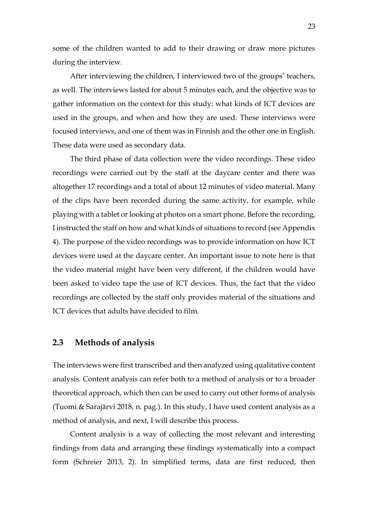some of the children wanted to add to their drawing or draw more pictures during the interview.

After interviewing the children, I interviewed two of the groups' teachers, as well. The interviews lasted for about 5 minutes each, and the objective was to gather information on the context for this study: what kinds of ICT devices are used in the groups, and when and how they are used. These interviews were focused interviews, and one of them was in Finnish and the other one in English. These data were used as secondary data.

The third phase of data collection were the video recordings. These video recordings were carried out by the staff at the daycare center and there was altogether 17 recordings and a total of about 12 minutes of video material. Many of the clips have been recorded during the same activity, for example, while playing with a tablet or looking at photos on a smart phone. Before the recording, I instructed the staff on how and what kinds of situations to record (see Appendix 4). The purpose of the video recordings was to provide information on how ICT devices were used at the daycare center. An important issue to note here is that the video material might have been very different, if the children would have been asked to video tape the use of ICT devices. Thus, the fact that the video recordings are collected by the staff only provides material of the situations and ICT devices that adults have decided to film.

### <span id="page-22-0"></span>**2.3 Methods of analysis**

The interviews were first transcribed and then analyzed using qualitative content analysis. Content analysis can refer both to a method of analysis or to a broader theoretical approach, which then can be used to carry out other forms of analysis (Tuomi & Sarajärvi 2018, n. pag.). In this study, I have used content analysis as a method of analysis, and next, I will describe this process.

Content analysis is a way of collecting the most relevant and interesting findings from data and arranging these findings systematically into a compact form (Schreier 2013, 2). In simplified terms, data are first reduced, then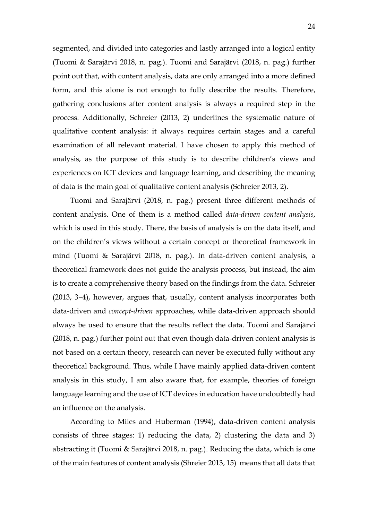segmented, and divided into categories and lastly arranged into a logical entity (Tuomi & Sarajärvi 2018, n. pag.). Tuomi and Sarajärvi (2018, n. pag.) further point out that, with content analysis, data are only arranged into a more defined form, and this alone is not enough to fully describe the results. Therefore, gathering conclusions after content analysis is always a required step in the process. Additionally, Schreier (2013, 2) underlines the systematic nature of qualitative content analysis: it always requires certain stages and a careful examination of all relevant material. I have chosen to apply this method of analysis, as the purpose of this study is to describe children's views and experiences on ICT devices and language learning, and describing the meaning of data is the main goal of qualitative content analysis (Schreier 2013, 2).

Tuomi and Sarajärvi (2018, n. pag.) present three different methods of content analysis. One of them is a method called *data-driven content analysis*, which is used in this study. There, the basis of analysis is on the data itself, and on the children's views without a certain concept or theoretical framework in mind (Tuomi & Sarajärvi 2018, n. pag.). In data-driven content analysis, a theoretical framework does not guide the analysis process, but instead, the aim is to create a comprehensive theory based on the findings from the data. Schreier (2013, 3–4), however, argues that, usually, content analysis incorporates both data-driven and *concept-driven* approaches, while data-driven approach should always be used to ensure that the results reflect the data. Tuomi and Sarajärvi (2018, n. pag.) further point out that even though data-driven content analysis is not based on a certain theory, research can never be executed fully without any theoretical background. Thus, while I have mainly applied data-driven content analysis in this study, I am also aware that, for example, theories of foreign language learning and the use of ICT devices in education have undoubtedly had an influence on the analysis.

According to Miles and Huberman (1994), data-driven content analysis consists of three stages: 1) reducing the data, 2) clustering the data and 3) abstracting it (Tuomi & Sarajärvi 2018, n. pag.). Reducing the data, which is one of the main features of content analysis (Shreier 2013, 15) means that all data that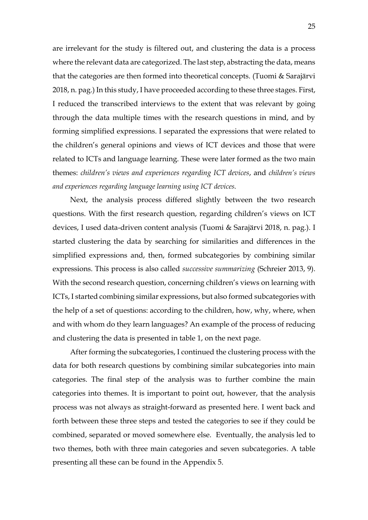are irrelevant for the study is filtered out, and clustering the data is a process where the relevant data are categorized. The last step, abstracting the data, means that the categories are then formed into theoretical concepts. (Tuomi & Sarajärvi 2018, n. pag.) In this study, I have proceeded according to these three stages. First, I reduced the transcribed interviews to the extent that was relevant by going through the data multiple times with the research questions in mind, and by forming simplified expressions. I separated the expressions that were related to the children's general opinions and views of ICT devices and those that were related to ICTs and language learning. These were later formed as the two main themes: *children's views and experiences regarding ICT devices*, and *children's views and experiences regarding language learning using ICT devices*.

Next, the analysis process differed slightly between the two research questions. With the first research question, regarding children's views on ICT devices, I used data-driven content analysis (Tuomi & Sarajärvi 2018, n. pag.). I started clustering the data by searching for similarities and differences in the simplified expressions and, then, formed subcategories by combining similar expressions. This process is also called *successive summarizing* (Schreier 2013, 9). With the second research question, concerning children's views on learning with ICTs, I started combining similar expressions, but also formed subcategories with the help of a set of questions: according to the children, how, why, where, when and with whom do they learn languages? An example of the process of reducing and clustering the data is presented in table 1, on the next page.

After forming the subcategories, I continued the clustering process with the data for both research questions by combining similar subcategories into main categories. The final step of the analysis was to further combine the main categories into themes. It is important to point out, however, that the analysis process was not always as straight-forward as presented here. I went back and forth between these three steps and tested the categories to see if they could be combined, separated or moved somewhere else. Eventually, the analysis led to two themes, both with three main categories and seven subcategories. A table presenting all these can be found in the Appendix 5.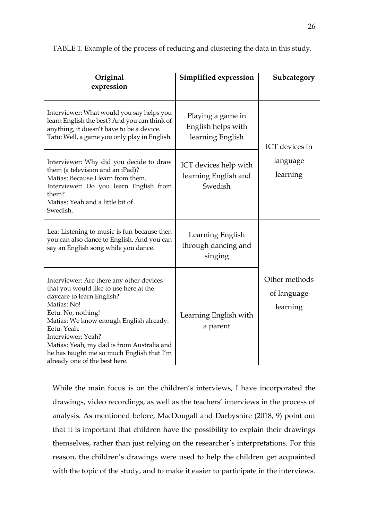| Original<br>expression                                                                                                                                                                                                                                                                                                                                           | Simplified expression                                       | Subcategory                              |  |
|------------------------------------------------------------------------------------------------------------------------------------------------------------------------------------------------------------------------------------------------------------------------------------------------------------------------------------------------------------------|-------------------------------------------------------------|------------------------------------------|--|
| Interviewer: What would you say helps you<br>learn English the best? And you can think of<br>anything, it doesn't have to be a device.<br>Tatu: Well, a game you only play in English.                                                                                                                                                                           | Playing a game in<br>English helps with<br>learning English | ICT devices in                           |  |
| Interviewer: Why did you decide to draw<br>them (a television and an iPad)?<br>Matias: Because I learn from them.<br>Interviewer: Do you learn English from<br>them?<br>Matias: Yeah and a little bit of<br>Swedish.                                                                                                                                             | ICT devices help with<br>learning English and<br>Swedish    | language<br>learning                     |  |
| Lea: Listening to music is fun because then<br>you can also dance to English. And you can<br>say an English song while you dance.                                                                                                                                                                                                                                | Learning English<br>through dancing and<br>singing          |                                          |  |
| Interviewer: Are there any other devices<br>that you would like to use here at the<br>daycare to learn English?<br>Matias: No!<br>Eetu: No, nothing!<br>Matias: We know enough English already.<br>Eetu: Yeah.<br>Interviewer: Yeah?<br>Matias: Yeah, my dad is from Australia and<br>he has taught me so much English that I'm<br>already one of the best here. | Learning English with<br>a parent                           | Other methods<br>of language<br>learning |  |

TABLE 1. Example of the process of reducing and clustering the data in this study.

While the main focus is on the children's interviews, I have incorporated the drawings, video recordings, as well as the teachers' interviews in the process of analysis. As mentioned before, MacDougall and Darbyshire (2018, 9) point out that it is important that children have the possibility to explain their drawings themselves, rather than just relying on the researcher's interpretations. For this reason, the children's drawings were used to help the children get acquainted with the topic of the study, and to make it easier to participate in the interviews.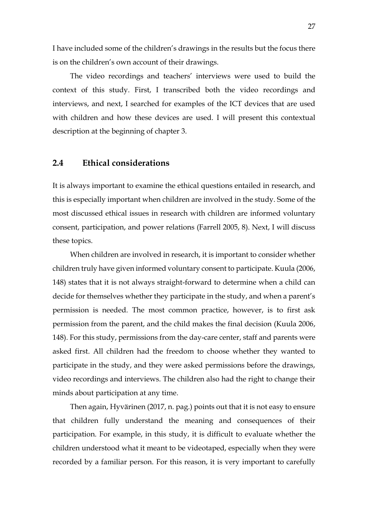I have included some of the children's drawings in the results but the focus there is on the children's own account of their drawings.

The video recordings and teachers' interviews were used to build the context of this study. First, I transcribed both the video recordings and interviews, and next, I searched for examples of the ICT devices that are used with children and how these devices are used. I will present this contextual description at the beginning of chapter 3.

### <span id="page-26-0"></span>**2.4 Ethical considerations**

It is always important to examine the ethical questions entailed in research, and this is especially important when children are involved in the study. Some of the most discussed ethical issues in research with children are informed voluntary consent, participation, and power relations (Farrell 2005, 8). Next, I will discuss these topics.

When children are involved in research, it is important to consider whether children truly have given informed voluntary consent to participate. Kuula (2006, 148) states that it is not always straight-forward to determine when a child can decide for themselves whether they participate in the study, and when a parent's permission is needed. The most common practice, however, is to first ask permission from the parent, and the child makes the final decision (Kuula 2006, 148). For this study, permissions from the day-care center, staff and parents were asked first. All children had the freedom to choose whether they wanted to participate in the study, and they were asked permissions before the drawings, video recordings and interviews. The children also had the right to change their minds about participation at any time.

Then again, Hyvärinen (2017, n. pag.) points out that it is not easy to ensure that children fully understand the meaning and consequences of their participation. For example, in this study, it is difficult to evaluate whether the children understood what it meant to be videotaped, especially when they were recorded by a familiar person. For this reason, it is very important to carefully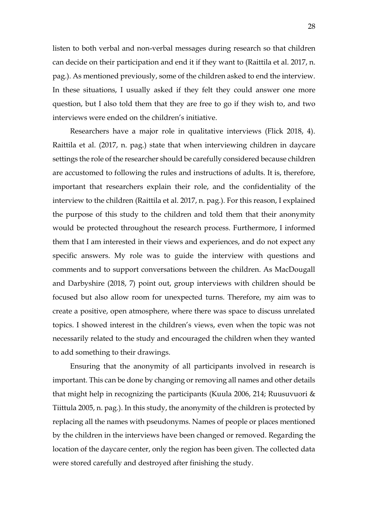listen to both verbal and non-verbal messages during research so that children can decide on their participation and end it if they want to (Raittila et al. 2017, n. pag.). As mentioned previously, some of the children asked to end the interview. In these situations, I usually asked if they felt they could answer one more question, but I also told them that they are free to go if they wish to, and two interviews were ended on the children's initiative.

Researchers have a major role in qualitative interviews (Flick 2018, 4). Raittila et al. (2017, n. pag.) state that when interviewing children in daycare settings the role of the researcher should be carefully considered because children are accustomed to following the rules and instructions of adults. It is, therefore, important that researchers explain their role, and the confidentiality of the interview to the children (Raittila et al. 2017, n. pag.). For this reason, I explained the purpose of this study to the children and told them that their anonymity would be protected throughout the research process. Furthermore, I informed them that I am interested in their views and experiences, and do not expect any specific answers. My role was to guide the interview with questions and comments and to support conversations between the children. As MacDougall and Darbyshire (2018, 7) point out, group interviews with children should be focused but also allow room for unexpected turns. Therefore, my aim was to create a positive, open atmosphere, where there was space to discuss unrelated topics. I showed interest in the children's views, even when the topic was not necessarily related to the study and encouraged the children when they wanted to add something to their drawings.

Ensuring that the anonymity of all participants involved in research is important. This can be done by changing or removing all names and other details that might help in recognizing the participants (Kuula 2006, 214; Ruusuvuori & Tiittula 2005, n. pag.). In this study, the anonymity of the children is protected by replacing all the names with pseudonyms. Names of people or places mentioned by the children in the interviews have been changed or removed. Regarding the location of the daycare center, only the region has been given. The collected data were stored carefully and destroyed after finishing the study.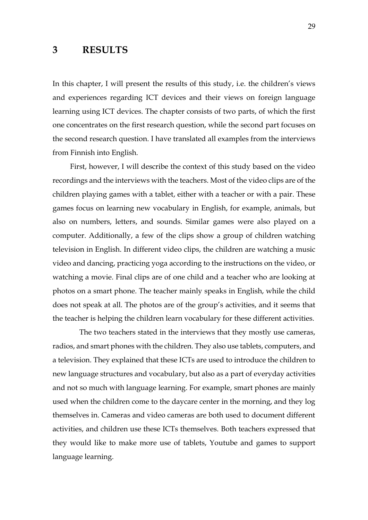# <span id="page-28-0"></span>**3 RESULTS**

In this chapter, I will present the results of this study, i.e. the children's views and experiences regarding ICT devices and their views on foreign language learning using ICT devices. The chapter consists of two parts, of which the first one concentrates on the first research question, while the second part focuses on the second research question. I have translated all examples from the interviews from Finnish into English.

First, however, I will describe the context of this study based on the video recordings and the interviews with the teachers. Most of the video clips are of the children playing games with a tablet, either with a teacher or with a pair. These games focus on learning new vocabulary in English, for example, animals, but also on numbers, letters, and sounds. Similar games were also played on a computer. Additionally, a few of the clips show a group of children watching television in English. In different video clips, the children are watching a music video and dancing, practicing yoga according to the instructions on the video, or watching a movie. Final clips are of one child and a teacher who are looking at photos on a smart phone. The teacher mainly speaks in English, while the child does not speak at all. The photos are of the group's activities, and it seems that the teacher is helping the children learn vocabulary for these different activities.

 The two teachers stated in the interviews that they mostly use cameras, radios, and smart phones with the children. They also use tablets, computers, and a television. They explained that these ICTs are used to introduce the children to new language structures and vocabulary, but also as a part of everyday activities and not so much with language learning. For example, smart phones are mainly used when the children come to the daycare center in the morning, and they log themselves in. Cameras and video cameras are both used to document different activities, and children use these ICTs themselves. Both teachers expressed that they would like to make more use of tablets, Youtube and games to support language learning.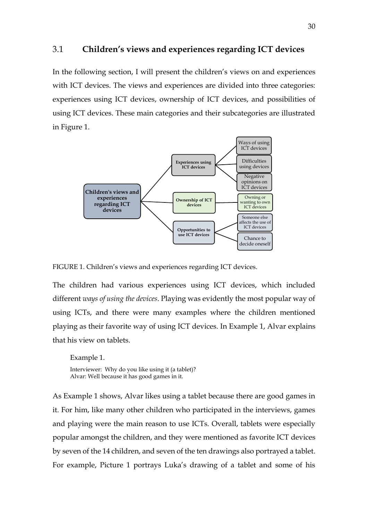#### <span id="page-29-0"></span>3.1 **Children's views and experiences regarding ICT devices**

In the following section, I will present the children's views on and experiences with ICT devices. The views and experiences are divided into three categories: experiences using ICT devices, ownership of ICT devices, and possibilities of using ICT devices. These main categories and their subcategories are illustrated in Figure 1.





The children had various experiences using ICT devices, which included different *ways of using the devices*. Playing was evidently the most popular way of using ICTs, and there were many examples where the children mentioned playing as their favorite way of using ICT devices. In Example 1, Alvar explains that his view on tablets.

Example 1. Interviewer: Why do you like using it (a tablet)? Alvar: Well because it has good games in it.

As Example 1 shows, Alvar likes using a tablet because there are good games in it. For him, like many other children who participated in the interviews, games and playing were the main reason to use ICTs. Overall, tablets were especially popular amongst the children, and they were mentioned as favorite ICT devices by seven of the 14 children, and seven of the ten drawings also portrayed a tablet. For example, Picture 1 portrays Luka's drawing of a tablet and some of his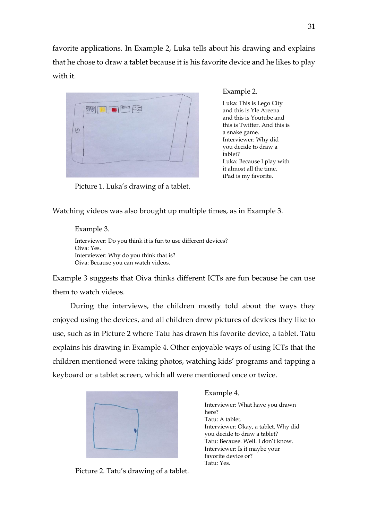favorite applications. In Example 2, Luka tells about his drawing and explains that he chose to draw a tablet because it is his favorite device and he likes to play with it.



Example 2.

Luka: This is Lego City and this is Yle Areena and this is Youtube and this is Twitter. And this is a snake game. Interviewer: Why did you decide to draw a tablet? Luka: Because I play with it almost all the time. iPad is my favorite.

Picture 1. Luka's drawing of a tablet.

Watching videos was also brought up multiple times, as in Example 3.

Example 3. Interviewer: Do you think it is fun to use different devices? Oiva: Yes. Interviewer: Why do you think that is? Oiva: Because you can watch videos.

Example 3 suggests that Oiva thinks different ICTs are fun because he can use them to watch videos.

During the interviews, the children mostly told about the ways they enjoyed using the devices, and all children drew pictures of devices they like to use, such as in Picture 2 where Tatu has drawn his favorite device, a tablet. Tatu explains his drawing in Example 4. Other enjoyable ways of using ICTs that the children mentioned were taking photos, watching kids' programs and tapping a keyboard or a tablet screen, which all were mentioned once or twice.



Picture 2. Tatu's drawing of a tablet.

Example 4.

Interviewer: What have you drawn here? Tatu: A tablet. Interviewer: Okay, a tablet. Why did you decide to draw a tablet? Tatu: Because. Well. I don't know. Interviewer: Is it maybe your favorite device or? Tatu: Yes.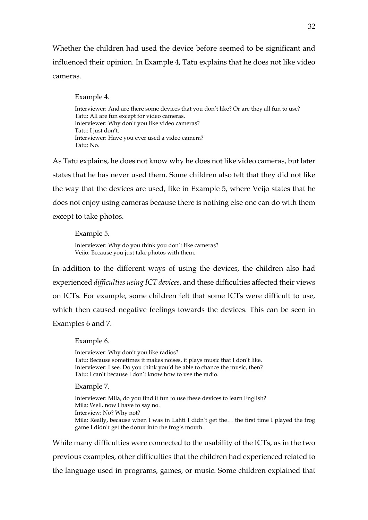Whether the children had used the device before seemed to be significant and influenced their opinion. In Example 4, Tatu explains that he does not like video cameras.

Example 4.

Interviewer: And are there some devices that you don't like? Or are they all fun to use? Tatu: All are fun except for video cameras. Interviewer: Why don't you like video cameras? Tatu: I just don't. Interviewer: Have you ever used a video camera? Tatu: No.

As Tatu explains, he does not know why he does not like video cameras, but later states that he has never used them. Some children also felt that they did not like the way that the devices are used, like in Example 5, where Veijo states that he does not enjoy using cameras because there is nothing else one can do with them except to take photos.

Example 5. Interviewer: Why do you think you don't like cameras? Veijo: Because you just take photos with them.

In addition to the different ways of using the devices, the children also had experienced *difficulties using ICT devices*, and these difficulties affected their views on ICTs. For example, some children felt that some ICTs were difficult to use, which then caused negative feelings towards the devices. This can be seen in Examples 6 and 7.

Example 6.

Interviewer: Why don't you like radios? Tatu: Because sometimes it makes noises, it plays music that I don't like. Interviewer: I see. Do you think you'd be able to chance the music, then? Tatu: I can't because I don't know how to use the radio.

Example 7.

Interviewer: Mila, do you find it fun to use these devices to learn English? Mila: Well, now I have to say no. Interview: No? Why not? Mila: Really, because when I was in Lahti I didn't get the… the first time I played the frog game I didn't get the donut into the frog's mouth.

While many difficulties were connected to the usability of the ICTs, as in the two previous examples, other difficulties that the children had experienced related to the language used in programs, games, or music. Some children explained that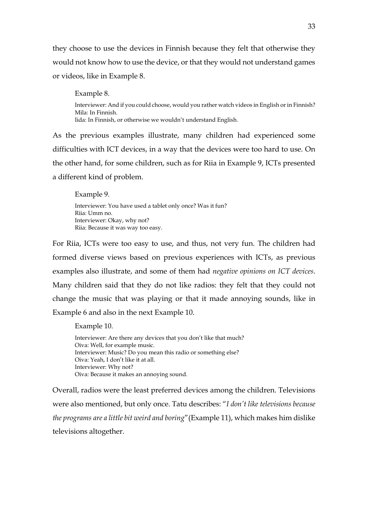they choose to use the devices in Finnish because they felt that otherwise they would not know how to use the device, or that they would not understand games or videos, like in Example 8.

Example 8.

Interviewer: And if you could choose, would you rather watch videos in English or in Finnish? Mila: In Finnish. Iida: In Finnish, or otherwise we wouldn't understand English.

As the previous examples illustrate, many children had experienced some difficulties with ICT devices, in a way that the devices were too hard to use. On the other hand, for some children, such as for Riia in Example 9, ICTs presented a different kind of problem.

Example 9.

Interviewer: You have used a tablet only once? Was it fun? Riia: Umm no. Interviewer: Okay, why not? Riia: Because it was way too easy.

For Riia, ICTs were too easy to use, and thus, not very fun. The children had formed diverse views based on previous experiences with ICTs, as previous examples also illustrate, and some of them had *negative opinions on ICT devices*. Many children said that they do not like radios: they felt that they could not change the music that was playing or that it made annoying sounds, like in Example 6 and also in the next Example 10.

Example 10. Interviewer: Are there any devices that you don't like that much? Oiva: Well, for example music. Interviewer: Music? Do you mean this radio or something else? Oiva: Yeah, I don't like it at all. Interviewer: Why not? Oiva: Because it makes an annoying sound.

Overall, radios were the least preferred devices among the children. Televisions were also mentioned, but only once. Tatu describes: "*I don't like televisions because the programs are a little bit weird and boring*"(Example 11), which makes him dislike televisions altogether.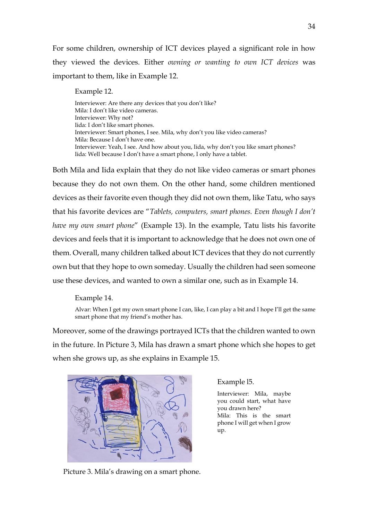For some children, ownership of ICT devices played a significant role in how they viewed the devices. Either *owning or wanting to own ICT devices* was important to them, like in Example 12.

Example 12.

Interviewer: Are there any devices that you don't like? Mila: I don't like video cameras. Interviewer: Why not? Iida: I don't like smart phones. Interviewer: Smart phones, I see. Mila, why don't you like video cameras? Mila: Because I don't have one. Interviewer: Yeah, I see. And how about you, Iida, why don't you like smart phones? Iida: Well because I don't have a smart phone, I only have a tablet.

Both Mila and Iida explain that they do not like video cameras or smart phones because they do not own them. On the other hand, some children mentioned devices as their favorite even though they did not own them, like Tatu, who says that his favorite devices are "*Tablets, computers, smart phones. Even though I don't have my own smart phone*" (Example 13). In the example, Tatu lists his favorite devices and feels that it is important to acknowledge that he does not own one of them. Overall, many children talked about ICT devices that they do not currently own but that they hope to own someday. Usually the children had seen someone use these devices, and wanted to own a similar one, such as in Example 14.

Example 14.

Alvar: When I get my own smart phone I can, like, I can play a bit and I hope I'll get the same smart phone that my friend's mother has.

Moreover, some of the drawings portrayed ICTs that the children wanted to own in the future. In Picture 3, Mila has drawn a smart phone which she hopes to get when she grows up, as she explains in Example 15.



#### Example l5.

Interviewer: Mila, maybe you could start, what have you drawn here? Mila: This is the smart phone I will get when I grow up.

Picture 3. Mila's drawing on a smart phone.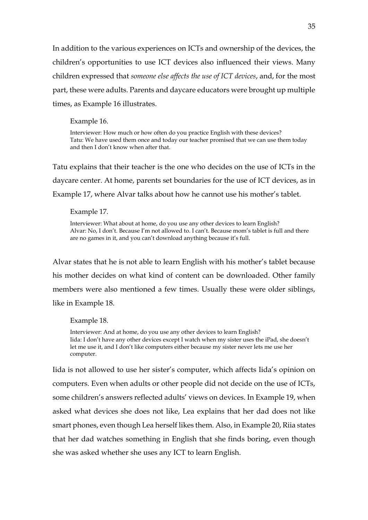In addition to the various experiences on ICTs and ownership of the devices, the children's opportunities to use ICT devices also influenced their views. Many children expressed that *someone else affects the use of ICT devices*, and, for the most part, these were adults. Parents and daycare educators were brought up multiple times, as Example 16 illustrates.

Example 16.

Interviewer: How much or how often do you practice English with these devices? Tatu: We have used them once and today our teacher promised that we can use them today and then I don't know when after that.

Tatu explains that their teacher is the one who decides on the use of ICTs in the daycare center. At home, parents set boundaries for the use of ICT devices, as in Example 17, where Alvar talks about how he cannot use his mother's tablet.

Example 17.

Interviewer: What about at home, do you use any other devices to learn English? Alvar: No, I don't. Because I'm not allowed to. I can't. Because mom's tablet is full and there are no games in it, and you can't download anything because it's full.

Alvar states that he is not able to learn English with his mother's tablet because his mother decides on what kind of content can be downloaded. Other family members were also mentioned a few times. Usually these were older siblings, like in Example 18.

Example 18.

Interviewer: And at home, do you use any other devices to learn English? Iida: I don't have any other devices except I watch when my sister uses the iPad, she doesn't let me use it, and I don't like computers either because my sister never lets me use her computer.

Iida is not allowed to use her sister's computer, which affects Iida's opinion on computers. Even when adults or other people did not decide on the use of ICTs, some children's answers reflected adults' views on devices. In Example 19, when asked what devices she does not like, Lea explains that her dad does not like smart phones, even though Lea herself likes them. Also, in Example 20, Riia states that her dad watches something in English that she finds boring, even though she was asked whether she uses any ICT to learn English.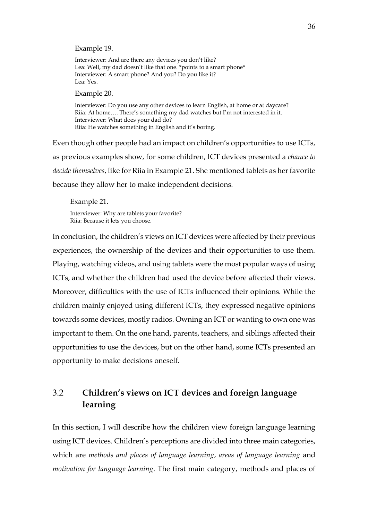Example 19.

Interviewer: And are there any devices you don't like? Lea: Well, my dad doesn't like that one. \*points to a smart phone\* Interviewer: A smart phone? And you? Do you like it? Lea: Yes.

Example 20.

Interviewer: Do you use any other devices to learn English, at home or at daycare? Riia: At home…. There's something my dad watches but I'm not interested in it. Interviewer: What does your dad do? Riia: He watches something in English and it's boring.

Even though other people had an impact on children's opportunities to use ICTs, as previous examples show, for some children, ICT devices presented a *chance to decide themselves*, like for Riia in Example 21. She mentioned tablets as her favorite because they allow her to make independent decisions.

Example 21. Interviewer: Why are tablets your favorite?

Riia: Because it lets you choose.

In conclusion, the children's views on ICT devices were affected by their previous experiences, the ownership of the devices and their opportunities to use them. Playing, watching videos, and using tablets were the most popular ways of using ICTs, and whether the children had used the device before affected their views. Moreover, difficulties with the use of ICTs influenced their opinions. While the children mainly enjoyed using different ICTs, they expressed negative opinions towards some devices, mostly radios. Owning an ICT or wanting to own one was important to them. On the one hand, parents, teachers, and siblings affected their opportunities to use the devices, but on the other hand, some ICTs presented an opportunity to make decisions oneself.

# <span id="page-35-0"></span>3.2 **Children's views on ICT devices and foreign language learning**

In this section, I will describe how the children view foreign language learning using ICT devices. Children's perceptions are divided into three main categories, which are *methods and places of language learning*, *areas of language learning* and *motivation for language learning*. The first main category, methods and places of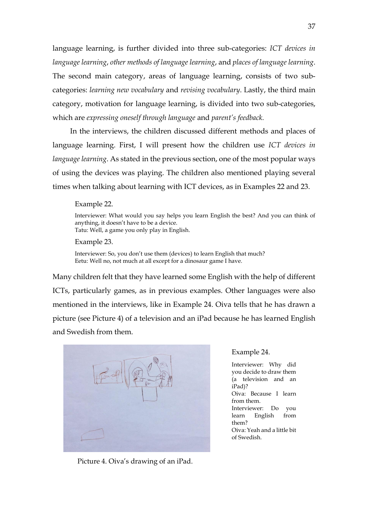language learning, is further divided into three sub-categories: *ICT devices in language learning*, *other methods of language learning*, and *places of language learning*. The second main category, areas of language learning, consists of two subcategories: *learning new vocabulary* and *revising vocabulary*. Lastly, the third main category, motivation for language learning, is divided into two sub-categories, which are *expressing oneself through language* and *parent's feedback.* 

In the interviews, the children discussed different methods and places of language learning. First, I will present how the children use *ICT devices in language learning*. As stated in the previous section, one of the most popular ways of using the devices was playing. The children also mentioned playing several times when talking about learning with ICT devices, as in Examples 22 and 23.

#### Example 22.

Interviewer: What would you say helps you learn English the best? And you can think of anything, it doesn't have to be a device. Tatu: Well, a game you only play in English.

Example 23.

Interviewer: So, you don't use them (devices) to learn English that much? Eetu: Well no, not much at all except for a dinosaur game I have.

Many children felt that they have learned some English with the help of different ICTs, particularly games, as in previous examples. Other languages were also mentioned in the interviews, like in Example 24. Oiva tells that he has drawn a picture (see Picture 4) of a television and an iPad because he has learned English and Swedish from them.



Picture 4. Oiva's drawing of an iPad.

#### Example 24.

Interviewer: Why did you decide to draw them (a television and an iPad)? Oiva: Because I learn from them. Interviewer: Do you learn English from them? Oiva: Yeah and a little bit of Swedish.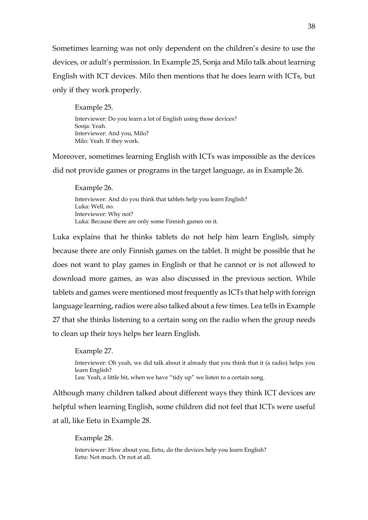Sometimes learning was not only dependent on the children's desire to use the devices, or adult's permission. In Example 25, Sonja and Milo talk about learning English with ICT devices. Milo then mentions that he does learn with ICTs, but only if they work properly.

Example 25.

Interviewer: Do you learn a lot of English using those devices? Sonja: Yeah. Interviewer: And you, Milo? Milo: Yeah. If they work.

Moreover, sometimes learning English with ICTs was impossible as the devices did not provide games or programs in the target language, as in Example 26.

Example 26.

Interviewer: And do you think that tablets help you learn English? Luka: Well, no. Interviewer: Why not? Luka: Because there are only some Finnish games on it.

Luka explains that he thinks tablets do not help him learn English, simply because there are only Finnish games on the tablet. It might be possible that he does not want to play games in English or that he cannot or is not allowed to download more games, as was also discussed in the previous section. While tablets and games were mentioned most frequently as ICTs that help with foreign language learning, radios were also talked about a few times. Lea tells in Example 27 that she thinks listening to a certain song on the radio when the group needs to clean up their toys helps her learn English.

Example 27.

Interviewer: Oh yeah, we did talk about it already that you think that it (a radio) helps you learn English? Lea: Yeah, a little bit, when we have "tidy up" we listen to a certain song.

Although many children talked about different ways they think ICT devices are helpful when learning English, some children did not feel that ICTs were useful at all, like Eetu in Example 28.

Example 28.

Interviewer: How about you, Eetu, do the devices help you learn English? Eetu: Not much. Or not at all.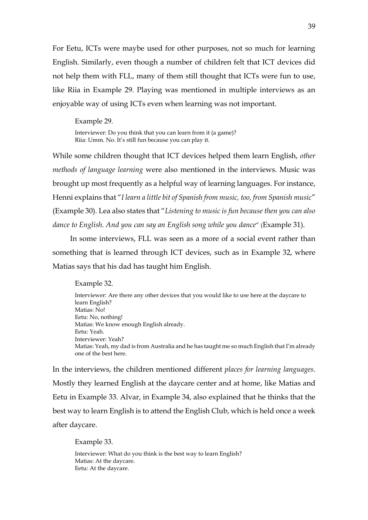For Eetu, ICTs were maybe used for other purposes, not so much for learning English. Similarly, even though a number of children felt that ICT devices did not help them with FLL, many of them still thought that ICTs were fun to use, like Riia in Example 29. Playing was mentioned in multiple interviews as an enjoyable way of using ICTs even when learning was not important.

Example 29.

Interviewer: Do you think that you can learn from it (a game)? Riia: Umm. No. It's still fun because you can play it.

While some children thought that ICT devices helped them learn English, *other methods of language learning* were also mentioned in the interviews. Music was brought up most frequently as a helpful way of learning languages. For instance, Henni explains that "*I learn a little bit of Spanish from music, too, from Spanish music*" (Example 30). Lea also states that "*Listening to music is fun because then you can also dance to English. And you can say an English song while you dance*" (Example 31).

In some interviews, FLL was seen as a more of a social event rather than something that is learned through ICT devices, such as in Example 32, where Matias says that his dad has taught him English.

Example 32.

Interviewer: Are there any other devices that you would like to use here at the daycare to learn English? Matias: No! Eetu: No, nothing! Matias: We know enough English already. Eetu: Yeah. Interviewer: Yeah? Matias: Yeah, my dad is from Australia and he has taught me so much English that I'm already one of the best here.

In the interviews, the children mentioned different *places for learning languages*. Mostly they learned English at the daycare center and at home, like Matias and Eetu in Example 33. Alvar, in Example 34, also explained that he thinks that the best way to learn English is to attend the English Club, which is held once a week after daycare.

Example 33.

Interviewer: What do you think is the best way to learn English? Matias: At the daycare. Eetu: At the daycare.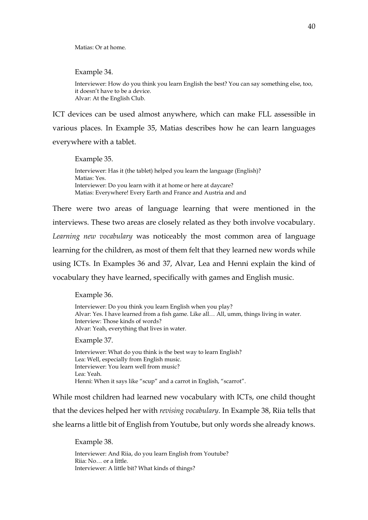Matias: Or at home.

Example 34.

Interviewer: How do you think you learn English the best? You can say something else, too, it doesn't have to be a device. Alvar: At the English Club.

ICT devices can be used almost anywhere, which can make FLL assessible in various places. In Example 35, Matias describes how he can learn languages everywhere with a tablet.

Example 35. Interviewer: Has it (the tablet) helped you learn the language (English)? Matias: Yes. Interviewer: Do you learn with it at home or here at daycare? Matias: Everywhere! Every Earth and France and Austria and and

There were two areas of language learning that were mentioned in the interviews. These two areas are closely related as they both involve vocabulary. *Learning new vocabulary* was noticeably the most common area of language learning for the children, as most of them felt that they learned new words while using ICTs. In Examples 36 and 37, Alvar, Lea and Henni explain the kind of vocabulary they have learned, specifically with games and English music.

Example 36.

Interviewer: Do you think you learn English when you play? Alvar: Yes. I have learned from a fish game. Like all… All, umm, things living in water. Interview: Those kinds of words? Alvar: Yeah, everything that lives in water.

Example 37.

Interviewer: What do you think is the best way to learn English? Lea: Well, especially from English music. Interviewer: You learn well from music? Lea: Yeah. Henni: When it says like "scup" and a carrot in English, "scarrot".

While most children had learned new vocabulary with ICTs, one child thought that the devices helped her with *revising vocabulary*. In Example 38, Riia tells that she learns a little bit of English from Youtube, but only words she already knows.

Example 38.

Interviewer: And Riia, do you learn English from Youtube? Riia: No… or a little. Interviewer: A little bit? What kinds of things?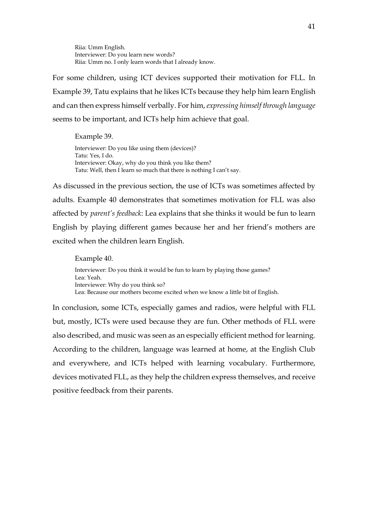Riia: Umm English. Interviewer: Do you learn new words? Riia: Umm no. I only learn words that I already know.

For some children, using ICT devices supported their motivation for FLL. In Example 39, Tatu explains that he likes ICTs because they help him learn English and can then express himself verbally. For him, *expressing himself through language* seems to be important, and ICTs help him achieve that goal.

Example 39. Interviewer: Do you like using them (devices)? Tatu: Yes, I do. Interviewer: Okay, why do you think you like them? Tatu: Well, then I learn so much that there is nothing I can't say.

As discussed in the previous section, the use of ICTs was sometimes affected by adults. Example 40 demonstrates that sometimes motivation for FLL was also affected by *parent's feedback*: Lea explains that she thinks it would be fun to learn English by playing different games because her and her friend's mothers are excited when the children learn English.

Example 40. Interviewer: Do you think it would be fun to learn by playing those games? Lea: Yeah. Interviewer: Why do you think so? Lea: Because our mothers become excited when we know a little bit of English.

In conclusion, some ICTs, especially games and radios, were helpful with FLL but, mostly, ICTs were used because they are fun. Other methods of FLL were also described, and music was seen as an especially efficient method for learning. According to the children, language was learned at home, at the English Club and everywhere, and ICTs helped with learning vocabulary. Furthermore, devices motivated FLL, as they help the children express themselves, and receive positive feedback from their parents.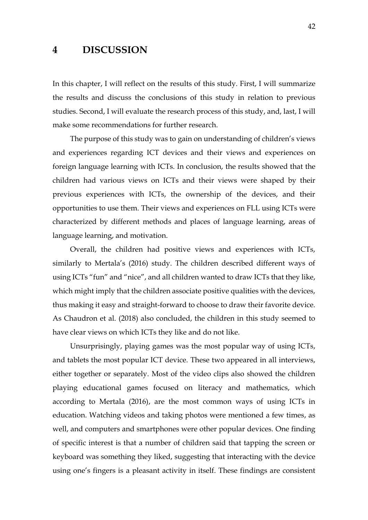## <span id="page-41-0"></span>**4 DISCUSSION**

In this chapter, I will reflect on the results of this study. First, I will summarize the results and discuss the conclusions of this study in relation to previous studies. Second, I will evaluate the research process of this study, and, last, I will make some recommendations for further research.

The purpose of this study was to gain on understanding of children's views and experiences regarding ICT devices and their views and experiences on foreign language learning with ICTs. In conclusion, the results showed that the children had various views on ICTs and their views were shaped by their previous experiences with ICTs, the ownership of the devices, and their opportunities to use them. Their views and experiences on FLL using ICTs were characterized by different methods and places of language learning, areas of language learning, and motivation.

Overall, the children had positive views and experiences with ICTs, similarly to Mertala's (2016) study. The children described different ways of using ICTs "fun" and "nice", and all children wanted to draw ICTs that they like, which might imply that the children associate positive qualities with the devices, thus making it easy and straight-forward to choose to draw their favorite device. As Chaudron et al. (2018) also concluded, the children in this study seemed to have clear views on which ICTs they like and do not like.

Unsurprisingly, playing games was the most popular way of using ICTs, and tablets the most popular ICT device. These two appeared in all interviews, either together or separately. Most of the video clips also showed the children playing educational games focused on literacy and mathematics, which according to Mertala (2016), are the most common ways of using ICTs in education. Watching videos and taking photos were mentioned a few times, as well, and computers and smartphones were other popular devices. One finding of specific interest is that a number of children said that tapping the screen or keyboard was something they liked, suggesting that interacting with the device using one's fingers is a pleasant activity in itself. These findings are consistent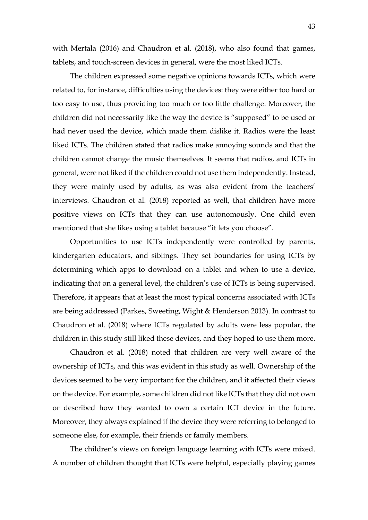with Mertala (2016) and Chaudron et al. (2018), who also found that games, tablets, and touch-screen devices in general, were the most liked ICTs.

The children expressed some negative opinions towards ICTs, which were related to, for instance, difficulties using the devices: they were either too hard or too easy to use, thus providing too much or too little challenge. Moreover, the children did not necessarily like the way the device is "supposed" to be used or had never used the device, which made them dislike it. Radios were the least liked ICTs. The children stated that radios make annoying sounds and that the children cannot change the music themselves. It seems that radios, and ICTs in general, were not liked if the children could not use them independently. Instead, they were mainly used by adults, as was also evident from the teachers' interviews. Chaudron et al. (2018) reported as well, that children have more positive views on ICTs that they can use autonomously. One child even mentioned that she likes using a tablet because "it lets you choose".

Opportunities to use ICTs independently were controlled by parents, kindergarten educators, and siblings. They set boundaries for using ICTs by determining which apps to download on a tablet and when to use a device, indicating that on a general level, the children's use of ICTs is being supervised. Therefore, it appears that at least the most typical concerns associated with ICTs are being addressed (Parkes, Sweeting, Wight & Henderson 2013). In contrast to Chaudron et al. (2018) where ICTs regulated by adults were less popular, the children in this study still liked these devices, and they hoped to use them more.

Chaudron et al. (2018) noted that children are very well aware of the ownership of ICTs, and this was evident in this study as well. Ownership of the devices seemed to be very important for the children, and it affected their views on the device. For example, some children did not like ICTs that they did not own or described how they wanted to own a certain ICT device in the future. Moreover, they always explained if the device they were referring to belonged to someone else, for example, their friends or family members.

The children's views on foreign language learning with ICTs were mixed. A number of children thought that ICTs were helpful, especially playing games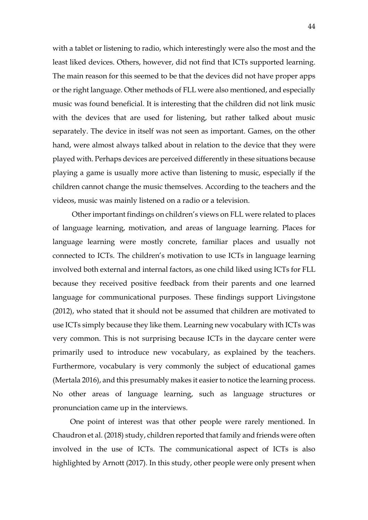with a tablet or listening to radio, which interestingly were also the most and the least liked devices. Others, however, did not find that ICTs supported learning. The main reason for this seemed to be that the devices did not have proper apps or the right language. Other methods of FLL were also mentioned, and especially music was found beneficial. It is interesting that the children did not link music with the devices that are used for listening, but rather talked about music separately. The device in itself was not seen as important. Games, on the other hand, were almost always talked about in relation to the device that they were played with. Perhaps devices are perceived differently in these situations because playing a game is usually more active than listening to music, especially if the children cannot change the music themselves. According to the teachers and the videos, music was mainly listened on a radio or a television.

Other important findings on children's views on FLL were related to places of language learning, motivation, and areas of language learning. Places for language learning were mostly concrete, familiar places and usually not connected to ICTs. The children's motivation to use ICTs in language learning involved both external and internal factors, as one child liked using ICTs for FLL because they received positive feedback from their parents and one learned language for communicational purposes. These findings support Livingstone (2012), who stated that it should not be assumed that children are motivated to use ICTs simply because they like them. Learning new vocabulary with ICTs was very common. This is not surprising because ICTs in the daycare center were primarily used to introduce new vocabulary, as explained by the teachers. Furthermore, vocabulary is very commonly the subject of educational games (Mertala 2016), and this presumably makes it easier to notice the learning process. No other areas of language learning, such as language structures or pronunciation came up in the interviews.

One point of interest was that other people were rarely mentioned. In Chaudron et al. (2018) study, children reported that family and friends were often involved in the use of ICTs. The communicational aspect of ICTs is also highlighted by Arnott (2017). In this study, other people were only present when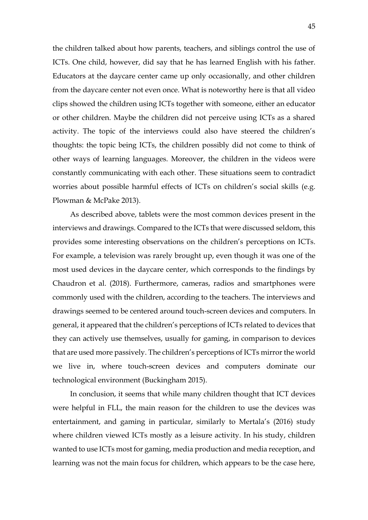the children talked about how parents, teachers, and siblings control the use of ICTs. One child, however, did say that he has learned English with his father. Educators at the daycare center came up only occasionally, and other children from the daycare center not even once. What is noteworthy here is that all video clips showed the children using ICTs together with someone, either an educator or other children. Maybe the children did not perceive using ICTs as a shared activity. The topic of the interviews could also have steered the children's thoughts: the topic being ICTs, the children possibly did not come to think of other ways of learning languages. Moreover, the children in the videos were constantly communicating with each other. These situations seem to contradict worries about possible harmful effects of ICTs on children's social skills (e.g. Plowman & McPake 2013).

As described above, tablets were the most common devices present in the interviews and drawings. Compared to the ICTs that were discussed seldom, this provides some interesting observations on the children's perceptions on ICTs. For example, a television was rarely brought up, even though it was one of the most used devices in the daycare center, which corresponds to the findings by Chaudron et al. (2018). Furthermore, cameras, radios and smartphones were commonly used with the children, according to the teachers. The interviews and drawings seemed to be centered around touch-screen devices and computers. In general, it appeared that the children's perceptions of ICTs related to devices that they can actively use themselves, usually for gaming, in comparison to devices that are used more passively. The children's perceptions of ICTs mirror the world we live in, where touch-screen devices and computers dominate our technological environment (Buckingham 2015).

In conclusion, it seems that while many children thought that ICT devices were helpful in FLL, the main reason for the children to use the devices was entertainment, and gaming in particular, similarly to Mertala's (2016) study where children viewed ICTs mostly as a leisure activity. In his study, children wanted to use ICTs most for gaming, media production and media reception, and learning was not the main focus for children, which appears to be the case here,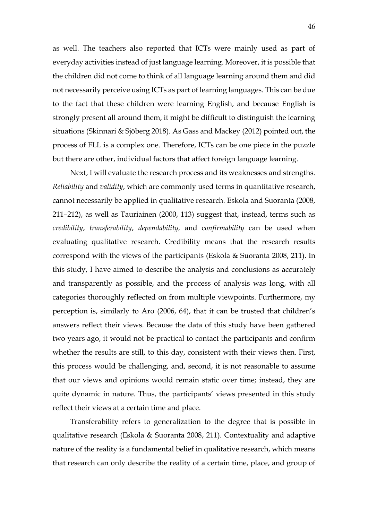as well. The teachers also reported that ICTs were mainly used as part of everyday activities instead of just language learning. Moreover, it is possible that the children did not come to think of all language learning around them and did not necessarily perceive using ICTs as part of learning languages. This can be due to the fact that these children were learning English, and because English is strongly present all around them, it might be difficult to distinguish the learning situations (Skinnari & Sjöberg 2018). As Gass and Mackey (2012) pointed out, the process of FLL is a complex one. Therefore, ICTs can be one piece in the puzzle but there are other, individual factors that affect foreign language learning.

Next, I will evaluate the research process and its weaknesses and strengths. *Reliability* and *validity*, which are commonly used terms in quantitative research, cannot necessarily be applied in qualitative research. Eskola and Suoranta (2008, 211–212), as well as Tauriainen (2000, 113) suggest that, instead, terms such as *credibility*, *transferability*, *dependability,* and c*onfirmability* can be used when evaluating qualitative research. Credibility means that the research results correspond with the views of the participants (Eskola & Suoranta 2008, 211). In this study, I have aimed to describe the analysis and conclusions as accurately and transparently as possible, and the process of analysis was long, with all categories thoroughly reflected on from multiple viewpoints. Furthermore, my perception is, similarly to Aro (2006, 64), that it can be trusted that children's answers reflect their views. Because the data of this study have been gathered two years ago, it would not be practical to contact the participants and confirm whether the results are still, to this day, consistent with their views then. First, this process would be challenging, and, second, it is not reasonable to assume that our views and opinions would remain static over time; instead, they are quite dynamic in nature. Thus, the participants' views presented in this study reflect their views at a certain time and place.

Transferability refers to generalization to the degree that is possible in qualitative research (Eskola & Suoranta 2008, 211). Contextuality and adaptive nature of the reality is a fundamental belief in qualitative research, which means that research can only describe the reality of a certain time, place, and group of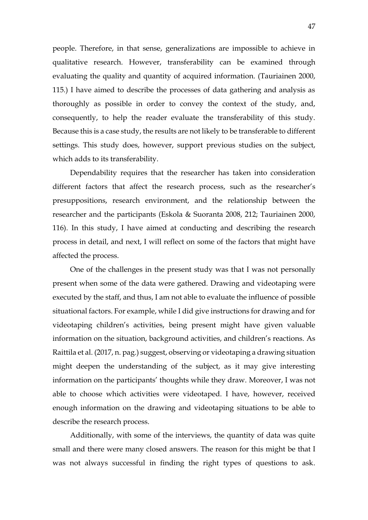people. Therefore, in that sense, generalizations are impossible to achieve in qualitative research. However, transferability can be examined through evaluating the quality and quantity of acquired information. (Tauriainen 2000, 115.) I have aimed to describe the processes of data gathering and analysis as thoroughly as possible in order to convey the context of the study, and, consequently, to help the reader evaluate the transferability of this study. Because this is a case study, the results are not likely to be transferable to different settings. This study does, however, support previous studies on the subject, which adds to its transferability.

Dependability requires that the researcher has taken into consideration different factors that affect the research process, such as the researcher's presuppositions, research environment, and the relationship between the researcher and the participants (Eskola & Suoranta 2008, 212; Tauriainen 2000, 116). In this study, I have aimed at conducting and describing the research process in detail, and next, I will reflect on some of the factors that might have affected the process.

One of the challenges in the present study was that I was not personally present when some of the data were gathered. Drawing and videotaping were executed by the staff, and thus, I am not able to evaluate the influence of possible situational factors. For example, while I did give instructions for drawing and for videotaping children's activities, being present might have given valuable information on the situation, background activities, and children's reactions. As Raittila et al. (2017, n. pag.) suggest, observing or videotaping a drawing situation might deepen the understanding of the subject, as it may give interesting information on the participants' thoughts while they draw. Moreover, I was not able to choose which activities were videotaped. I have, however, received enough information on the drawing and videotaping situations to be able to describe the research process.

Additionally, with some of the interviews, the quantity of data was quite small and there were many closed answers. The reason for this might be that I was not always successful in finding the right types of questions to ask.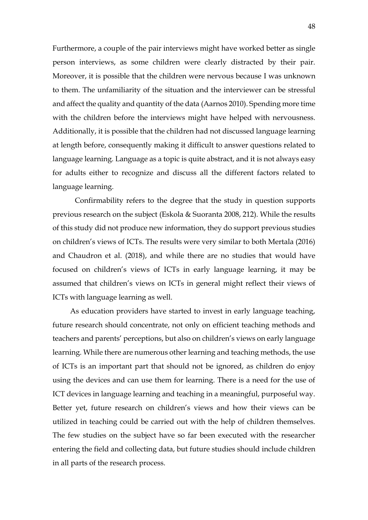Furthermore, a couple of the pair interviews might have worked better as single person interviews, as some children were clearly distracted by their pair. Moreover, it is possible that the children were nervous because I was unknown to them. The unfamiliarity of the situation and the interviewer can be stressful and affect the quality and quantity of the data (Aarnos 2010). Spending more time with the children before the interviews might have helped with nervousness. Additionally, it is possible that the children had not discussed language learning at length before, consequently making it difficult to answer questions related to language learning. Language as a topic is quite abstract, and it is not always easy for adults either to recognize and discuss all the different factors related to language learning.

Confirmability refers to the degree that the study in question supports previous research on the subject (Eskola & Suoranta 2008, 212). While the results of this study did not produce new information, they do support previous studies on children's views of ICTs. The results were very similar to both Mertala (2016) and Chaudron et al. (2018), and while there are no studies that would have focused on children's views of ICTs in early language learning, it may be assumed that children's views on ICTs in general might reflect their views of ICTs with language learning as well.

As education providers have started to invest in early language teaching, future research should concentrate, not only on efficient teaching methods and teachers and parents' perceptions, but also on children's views on early language learning. While there are numerous other learning and teaching methods, the use of ICTs is an important part that should not be ignored, as children do enjoy using the devices and can use them for learning. There is a need for the use of ICT devices in language learning and teaching in a meaningful, purposeful way. Better yet, future research on children's views and how their views can be utilized in teaching could be carried out with the help of children themselves. The few studies on the subject have so far been executed with the researcher entering the field and collecting data, but future studies should include children in all parts of the research process.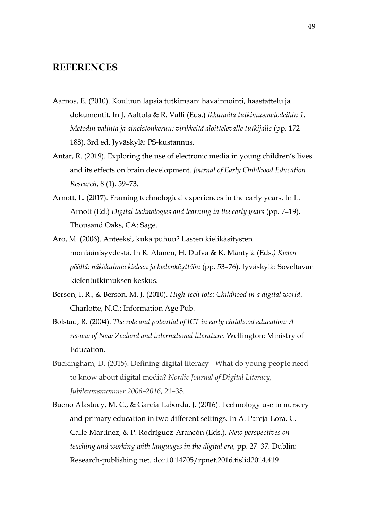# <span id="page-48-0"></span>**REFERENCES**

- Aarnos, E. (2010). Kouluun lapsia tutkimaan: havainnointi, haastattelu ja dokumentit. In J. Aaltola & R. Valli (Eds.) *Ikkunoita tutkimusmetodeihin 1. Metodin valinta ja aineistonkeruu: virikkeitä aloittelevalle tutkijalle* (pp. 172– 188). 3rd ed. Jyväskylä: PS-kustannus.
- Antar, R. (2019). Exploring the use of electronic media in young children's lives and its effects on brain development. *Journal of Early Childhood Education Research*, 8 (1), 59–73.
- Arnott, L. (2017). Framing technological experiences in the early years. In L. Arnott (Ed.) *Digital technologies and learning in the early years* (pp. 7–19). Thousand Oaks, CA: Sage.
- Aro, M. (2006). Anteeksi, kuka puhuu? Lasten kielikäsitysten moniäänisyydestä. In R. Alanen, H. Dufva & K. Mäntylä (Eds*.) Kielen päällä: näkökulmia kieleen ja kielenkäyttöön* (pp. 53–76). Jyväskylä: Soveltavan kielentutkimuksen keskus.
- Berson, I. R., & Berson, M. J. (2010). *High-tech tots: Childhood in a digital world*. Charlotte, N.C.: Information Age Pub.
- Bolstad, R. (2004). *The role and potential of ICT in early childhood education: A review of New Zealand and international literature*. Wellington: Ministry of Education.
- Buckingham, D. (2015). Defining digital literacy What do young people need to know about digital media? *Nordic Journal of Digital Literacy, Jubileumsnummer 2006–2016*, 21–35.
- Bueno Alastuey, M. C., & García Laborda, J. (2016). Technology use in nursery and primary education in two different settings. In A. Pareja-Lora, C. Calle-Martínez, & P. Rodríguez-Arancón (Eds.), *New perspectives on teaching and working with languages in the digital era,* pp. 27–37. Dublin: Research-publishing.net. doi:10.14705/rpnet.2016.tislid2014.419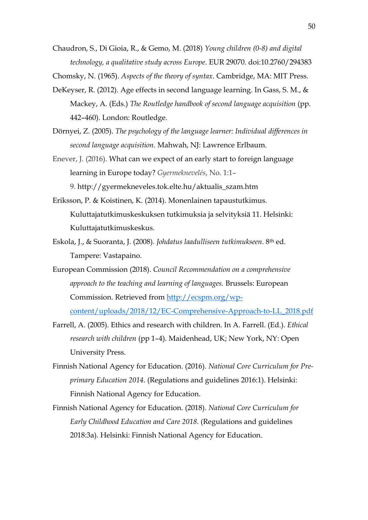Chaudron, S., Di Gioia, R., & Gemo, M. (2018) *Young children (0-8) and digital technology, a qualitative study across Europe*. EUR 29070. doi:10.2760/294383

Chomsky, N. (1965). *Aspects of the theory of syntax*. Cambridge, MA: MIT Press.

- DeKeyser, R. (2012). Age effects in second language learning. In Gass, S. M., & Mackey, A. (Eds.) *The Routledge handbook of second language acquisition* (pp. 442–460). London: Routledge.
- Dörnyei, Z. (2005). *The psychology of the language learner: Individual differences in second language acquisition*. Mahwah, NJ: Lawrence Erlbaum.
- Enever, J. (2016). What can we expect of an early start to foreign [language](http://gyermekneveles.tok.elte.hu/16_1_szam/pub/enever.html) [learning](http://gyermekneveles.tok.elte.hu/16_1_szam/pub/enever.html) in Europe today? *Gyermeknevelés*, No. 1:1– 9. [http://gyermekneveles.tok.elte.hu/aktualis\\_szam.htm](http://gyermekneveles.tok.elte.hu/aktualis_szam.htm)
- Eriksson, P. & Koistinen, K. (2014). Monenlainen tapaustutkimus. Kuluttajatutkimuskeskuksen tutkimuksia ja selvityksiä 11. Helsinki: Kuluttajatutkimuskeskus.
- Eskola, J., & Suoranta, J. (2008). *Johdatus laadulliseen tutkimukseen*. 8th ed. Tampere: Vastapaino.
- European Commission (2018). *Council Recommendation on a comprehensive approach to the teaching and learning of languages.* Brussels: European Commission. Retrieved from [http://ecspm.org/wp](http://ecspm.org/wp-content/uploads/2018/12/EC-Comprehensive-Approach-to-LL_2018.pdf)[content/uploads/2018/12/EC-Comprehensive-Approach-to-LL\\_2018.pdf](http://ecspm.org/wp-content/uploads/2018/12/EC-Comprehensive-Approach-to-LL_2018.pdf)
- Farrell, A. (2005). Ethics and research with children. In A. Farrell. (Ed.). *Ethical research with children* (pp 1–4). Maidenhead, UK; New York, NY: Open University Press.
- Finnish National Agency for Education. (2016). *National Core Curriculum for Preprimary Education 2014*. (Regulations and guidelines 2016:1). Helsinki: Finnish National Agency for Education.
- Finnish National Agency for Education. (2018). *National Core Curriculum for Early Childhood Education and Care 2018*. (Regulations and guidelines 2018:3a). Helsinki: Finnish National Agency for Education.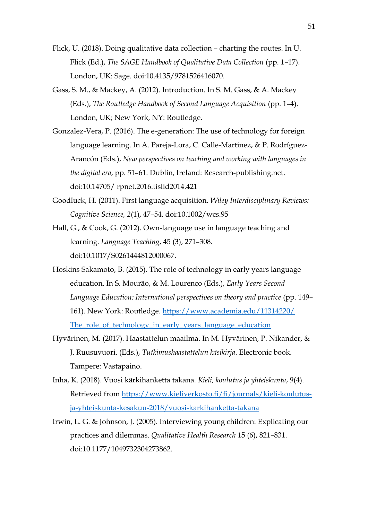- Flick, U. (2018). Doing qualitative data collection charting the routes. In U. Flick (Ed.), *The SAGE Handbook of Qualitative Data Collection* (pp. 1–17). London, UK: Sage. doi:10.4135/9781526416070.
- Gass, S. M., & Mackey, A. (2012). Introduction. In S. M. Gass, & A. Mackey (Eds.), *The Routledge Handbook of Second Language Acquisition* (pp. 1–4). London, UK; New York, NY: Routledge.
- Gonzalez-Vera, P. (2016). The e-generation: The use of technology for foreign language learning. In A. Pareja-Lora, C. Calle-Martínez, & P. Rodríguez-Arancón (Eds.), *New perspectives on teaching and working with languages in the digital era*, pp. 51–61. Dublin, Ireland: Research-publishing.net. doi:10.14705/ rpnet.2016.tislid2014.421
- Goodluck, H. (2011). First language acquisition. *Wiley Interdisciplinary Reviews: Cognitive Science, 2*(1), 47–54. doi:10.1002/wcs.95
- Hall, G., & Cook, G. (2012). Own-language use in language teaching and learning. *Language Teaching*, 45 (3), 271–308. doi:10.1017/S0261444812000067.
- Hoskins Sakamoto, B. (2015). The role of technology in early years language education. In S. Mourão, & M. Lourenço (Eds.), *Early Years Second Language Education: International perspectives on theory and practice* (pp. 149– 161). New York: Routledge. [https://www.academia.edu/11314220/](https://www.academia.edu/11314220/The_role_of_technology_in_early_years_language_education) [The\\_role\\_of\\_technology\\_in\\_early\\_years\\_language\\_education](https://www.academia.edu/11314220/The_role_of_technology_in_early_years_language_education)
- Hyvärinen, M. (2017). Haastattelun maailma. In M. Hyvärinen, P. Nikander, & J. Ruusuvuori. (Eds.), *Tutkimushaastattelun käsikirja*. Electronic book. Tampere: Vastapaino.
- Inha, K. (2018). Vuosi kärkihanketta takana. *Kieli, koulutus ja yhteiskunta*, 9(4). Retrieved from [https://www.kieliverkosto.fi/fi/journals/kieli-koulutus](https://www.kieliverkosto.fi/fi/journals/kieli-koulutus-ja-yhteiskunta-kesakuu-2018/vuosi-karkihanketta-takana)[ja-yhteiskunta-kesakuu-2018/vuosi-karkihanketta-takana](https://www.kieliverkosto.fi/fi/journals/kieli-koulutus-ja-yhteiskunta-kesakuu-2018/vuosi-karkihanketta-takana)
- Irwin, L. G. & Johnson, J. (2005). Interviewing young children: Explicating our practices and dilemmas. *Qualitative Health Research* 15 (6), 821–831. doi:10.1177/1049732304273862.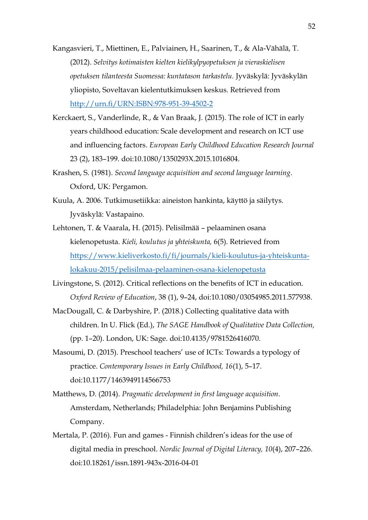- Kangasvieri, T., Miettinen, E., Palviainen, H., Saarinen, T., & Ala-Vähälä, T. (2012). *Selvitys kotimaisten kielten kielikylpyopetuksen ja vieraskielisen opetuksen tilanteesta Suomessa: kuntatason tarkastelu.* Jyväskylä: Jyväskylän yliopisto, Soveltavan kielentutkimuksen keskus. Retrieved from <http://urn.fi/URN:ISBN:978-951-39-4502-2>
- Kerckaert, S., Vanderlinde, R., & Van Braak, J. (2015). The role of ICT in early years childhood education: Scale development and research on ICT use and influencing factors. *European Early Childhood Education Research Journal* 23 (2), 183–199. doi:10.1080/1350293X.2015.1016804.
- Krashen, S. (1981). *Second language acquisition and second language learning*. Oxford, UK: Pergamon.
- Kuula, A. 2006. Tutkimusetiikka: aineiston hankinta, käyttö ja säilytys. Jyväskylä: Vastapaino.
- Lehtonen, T. & Vaarala, H. (2015). Pelisilmää pelaaminen osana kielenopetusta. *Kieli, koulutus ja yhteiskunta,* 6(5). Retrieved from [https://www.kieliverkosto.fi/fi/journals/kieli-koulutus-ja-yhteiskunta](https://www.kieliverkosto.fi/fi/journals/kieli-koulutus-ja-yhteiskunta-lokakuu-2015/pelisilmaa-pelaaminen-osana-kielenopetusta)[lokakuu-2015/pelisilmaa-pelaaminen-osana-kielenopetusta](https://www.kieliverkosto.fi/fi/journals/kieli-koulutus-ja-yhteiskunta-lokakuu-2015/pelisilmaa-pelaaminen-osana-kielenopetusta)
- Livingstone, S. (2012). Critical reflections on the benefits of ICT in education. *Oxford Review of Education*, 38 (1), 9–24, doi:10.1080/03054985.2011.577938.
- MacDougall, C. & Darbyshire, P. (2018.) Collecting qualitative data with children. In U. Flick (Ed.), *The SAGE Handbook of Qualitative Data Collection,*  (pp. 1–20). London, UK: Sage. doi:10.4135/9781526416070.
- Masoumi, D. (2015). Preschool teachers' use of ICTs: Towards a typology of practice. *Contemporary Issues in Early Childhood, 16*(1), 5–17. doi:10.1177/1463949114566753
- Matthews, D. (2014). *Pragmatic development in first language acquisition*. Amsterdam, Netherlands; Philadelphia: John Benjamins Publishing Company.
- Mertala, P. (2016). Fun and games Finnish children's ideas for the use of digital media in preschool. *Nordic Journal of Digital Literacy, 10*(4), 207–226. doi:10.18261/issn.1891-943x-2016-04-01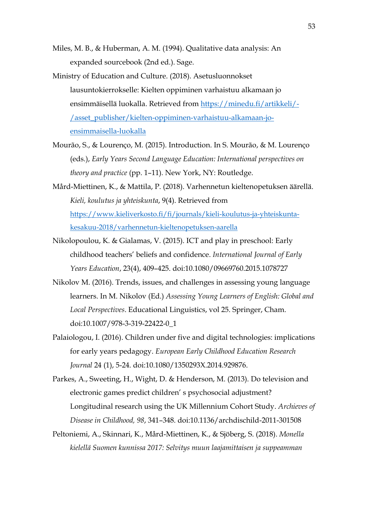- Miles, M. B., & Huberman, A. M. (1994). Qualitative data analysis: An expanded sourcebook (2nd ed.). Sage.
- Ministry of Education and Culture. (2018). Asetusluonnokset lausuntokierrokselle: Kielten oppiminen varhaistuu alkamaan jo ensimmäisellä luokalla. Retrieved from [https://minedu.fi/artikkeli/-](https://minedu.fi/artikkeli/-/asset_publisher/kielten-oppiminen-varhaistuu-alkamaan-jo-ensimmaisella-luokalla) [/asset\\_publisher/kielten-oppiminen-varhaistuu-alkamaan-jo](https://minedu.fi/artikkeli/-/asset_publisher/kielten-oppiminen-varhaistuu-alkamaan-jo-ensimmaisella-luokalla)[ensimmaisella-luokalla](https://minedu.fi/artikkeli/-/asset_publisher/kielten-oppiminen-varhaistuu-alkamaan-jo-ensimmaisella-luokalla)
- Mourão, S., & Lourenço, M. (2015). Introduction. In S. Mourão, & M. Lourenço (eds.), *Early Years Second Language Education: International perspectives on theory and practice* (pp. 1–11)*.* New York, NY: Routledge.
- Mård-Miettinen, K., & Mattila, P. (2018). Varhennetun kieltenopetuksen äärellä. *Kieli, koulutus ja yhteiskunta*, 9(4). Retrieved from [https://www.kieliverkosto.fi/fi/journals/kieli-koulutus-ja-yhteiskunta](https://www.kieliverkosto.fi/fi/journals/kieli-koulutus-ja-yhteiskunta-kesakuu-2018/varhennetun-kieltenopetuksen-aarella)[kesakuu-2018/varhennetun-kieltenopetuksen-aarella](https://www.kieliverkosto.fi/fi/journals/kieli-koulutus-ja-yhteiskunta-kesakuu-2018/varhennetun-kieltenopetuksen-aarella)
- Nikolopoulou, K. & Gialamas, V. (2015). ICT and play in preschool: Early childhood teachers' beliefs and confidence. *International Journal of Early Years Education*, 23(4), 409–425. doi:10.1080/09669760.2015.1078727
- Nikolov M. (2016). Trends, issues, and challenges in assessing young language learners. In M. Nikolov (Ed.) *Assessing Young Learners of English: Global and Local Perspectives*. Educational Linguistics, vol 25. Springer, Cham. doi:10.1007/978-3-319-22422-0\_1
- Palaiologou, I. (2016). Children under five and digital technologies: implications for early years pedagogy. *European Early Childhood Education Research Journal* 24 (1), 5-24. doi:10.1080/1350293X.2014.929876.
- Parkes, A., Sweeting, H., Wight, D. & Henderson, M. (2013). Do television and electronic games predict children' s psychosocial adjustment? Longitudinal research using the UK Millennium Cohort Study. *Archieves of Disease in Childhood, 98*, 341–348. doi:10.1136/archdischild-2011-301508
- Peltoniemi, A., Skinnari, K., Mård-Miettinen, K., & Sjöberg, S. (2018). *Monella kielellä Suomen kunnissa 2017: Selvitys muun laajamittaisen ja suppeamman*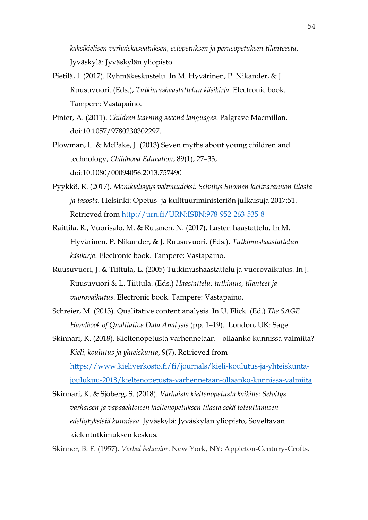*kaksikielisen varhaiskasvatuksen, esiopetuksen ja perusopetuksen tilanteesta*. Jyväskylä: Jyväskylän yliopisto.

- Pietilä, I. (2017). Ryhmäkeskustelu. In M. Hyvärinen, P. Nikander, & J. Ruusuvuori. (Eds.), *Tutkimushaastattelun käsikirja*. Electronic book. Tampere: Vastapaino.
- Pinter, A. (2011). *Children learning second languages*. Palgrave Macmillan. doi:10.1057/9780230302297.
- Plowman, L. & McPake, J. (2013) Seven myths about young children and technology, *Childhood Education*, 89(1), 27–33, doi:10.1080/00094056.2013.757490
- Pyykkö, R. (2017). *Monikielisyys vahvuudeksi. Selvitys Suomen kielivarannon tilasta ja tasosta.* Helsinki: Opetus- ja kulttuuriministeriön julkaisuja 2017:51. Retrieved from<http://urn.fi/URN:ISBN:978-952-263-535-8>
- Raittila, R., Vuorisalo, M. & Rutanen, N. (2017). Lasten haastattelu. In M. Hyvärinen, P. Nikander, & J. Ruusuvuori. (Eds.), *Tutkimushaastattelun käsikirja*. Electronic book. Tampere: Vastapaino.
- Ruusuvuori, J. & Tiittula, L. (2005) Tutkimushaastattelu ja vuorovaikutus. In J. Ruusuvuori & L. Tiittula. (Eds.) *Haastattelu: tutkimus, tilanteet ja vuorovaikutus*. Electronic book. Tampere: Vastapaino.
- Schreier, M. (2013). Qualitative content analysis. In U. Flick. (Ed.) *The SAGE Handbook of Qualitative Data Analysis* (pp. 1–19). London, UK: Sage.
- Skinnari, K. (2018). Kieltenopetusta varhennetaan ollaanko kunnissa valmiita? *Kieli, koulutus ja yhteiskunta*, 9(7). Retrieved from [https://www.kieliverkosto.fi/fi/journals/kieli-koulutus-ja-yhteiskunta](https://www.kieliverkosto.fi/fi/journals/kieli-koulutus-ja-yhteiskunta-joulukuu-2018/kieltenopetusta-varhennetaan-ollaanko-kunnissa-valmiita)[joulukuu-2018/kieltenopetusta-varhennetaan-ollaanko-kunnissa-valmiita](https://www.kieliverkosto.fi/fi/journals/kieli-koulutus-ja-yhteiskunta-joulukuu-2018/kieltenopetusta-varhennetaan-ollaanko-kunnissa-valmiita)
- Skinnari, K. & Sjöberg, S. (2018). *Varhaista kieltenopetusta kaikille: Selvitys varhaisen ja vapaaehtoisen kieltenopetuksen tilasta sekä toteuttamisen edellytyksistä kunnissa*. Jyväskylä: Jyväskylän yliopisto, Soveltavan kielentutkimuksen keskus.

Skinner, B. F. (1957). *Verbal behavior*. New York, NY: Appleton-Century-Crofts.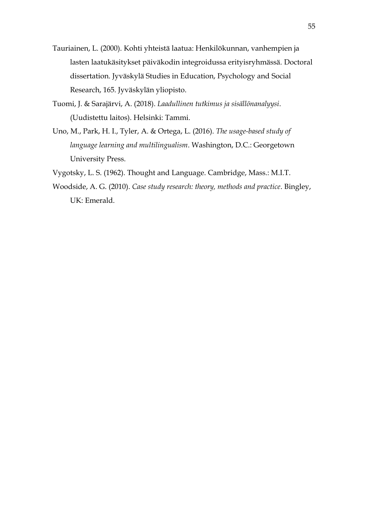- Tauriainen, L. (2000). Kohti yhteistä laatua: Henkilökunnan, vanhempien ja lasten laatukäsitykset päiväkodin integroidussa erityisryhmässä. Doctoral dissertation. Jyväskylä Studies in Education, Psychology and Social Research, 165. Jyväskylän yliopisto.
- Tuomi, J. & Sarajärvi, A. (2018). *Laadullinen tutkimus ja sisällönanalyysi*. (Uudistettu laitos). Helsinki: Tammi.
- Uno, M., Park, H. I., Tyler, A. & Ortega, L. (2016). *The usage-based study of language learning and multilingualism*. Washington, D.C.: Georgetown University Press.
- Vygotsky, L. S. (1962). Thought and Language. Cambridge, Mass.: M.I.T.
- Woodside, A. G. (2010). *Case study research: theory, methods and practice*. Bingley, UK: Emerald.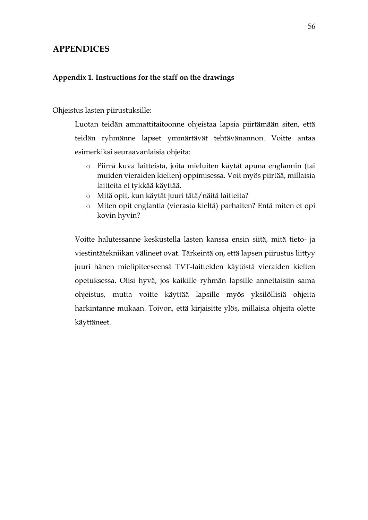# <span id="page-55-0"></span>**APPENDICES**

### <span id="page-55-1"></span>**Appendix 1. Instructions for the staff on the drawings**

#### Ohjeistus lasten piirustuksille:

Luotan teidän ammattitaitoonne ohjeistaa lapsia piirtämään siten, että teidän ryhmänne lapset ymmärtävät tehtävänannon. Voitte antaa esimerkiksi seuraavanlaisia ohjeita:

- o Piirrä kuva laitteista, joita mieluiten käytät apuna englannin (tai muiden vieraiden kielten) oppimisessa. Voit myös piirtää, millaisia laitteita et tykkää käyttää.
- o Mitä opit, kun käytät juuri tätä/näitä laitteita?
- o Miten opit englantia (vierasta kieltä) parhaiten? Entä miten et opi kovin hyvin?

Voitte halutessanne keskustella lasten kanssa ensin siitä, mitä tieto- ja viestintätekniikan välineet ovat. Tärkeintä on, että lapsen piirustus liittyy juuri hänen mielipiteeseensä TVT-laitteiden käytöstä vieraiden kielten opetuksessa. Olisi hyvä, jos kaikille ryhmän lapsille annettaisiin sama ohjeistus, mutta voitte käyttää lapsille myös yksilöllisiä ohjeita harkintanne mukaan. Toivon, että kirjaisitte ylös, millaisia ohjeita olette käyttäneet.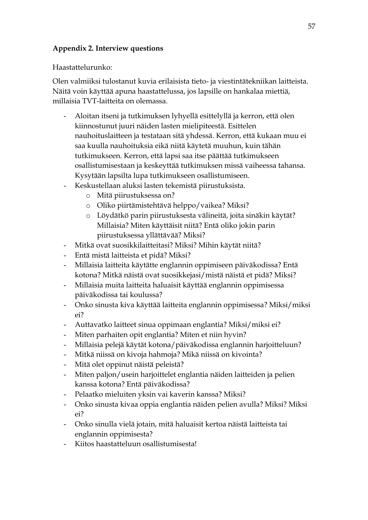## <span id="page-56-0"></span>**Appendix 2. Interview questions**

Haastattelurunko:

Olen valmiiksi tulostanut kuvia erilaisista tieto- ja viestintätekniikan laitteista. Näitä voin käyttää apuna haastattelussa, jos lapsille on hankalaa miettiä, millaisia TVT-laitteita on olemassa.

- Aloitan itseni ja tutkimuksen lyhyellä esittelyllä ja kerron, että olen kiinnostunut juuri näiden lasten mielipiteestä. Esittelen nauhoituslaitteen ja testataan sitä yhdessä. Kerron, että kukaan muu ei saa kuulla nauhoituksia eikä niitä käytetä muuhun, kuin tähän tutkimukseen. Kerron, että lapsi saa itse päättää tutkimukseen osallistumisestaan ja keskeyttää tutkimuksen missä vaiheessa tahansa. Kysytään lapsilta lupa tutkimukseen osallistumiseen.
- Keskustellaan aluksi lasten tekemistä piirustuksista.
	- o Mitä piirustuksessa on?
	- o Oliko piirtämistehtävä helppo/vaikea? Miksi?
	- o Löydätkö parin piirustuksesta välineitä, joita sinäkin käytät? Millaisia? Miten käyttäisit niitä? Entä oliko jokin parin piirustuksessa yllättävää? Miksi?
- Mitkä ovat suosikkilaitteitasi? Miksi? Mihin käytät niitä?
- Entä mistä laitteista et pidä? Miksi?
- Millaisia laitteita käytätte englannin oppimiseen päiväkodissa? Entä kotona? Mitkä näistä ovat suosikkejasi/mistä näistä et pidä? Miksi?
- Millaisia muita laitteita haluaisit käyttää englannin oppimisessa päiväkodissa tai koulussa?
- Onko sinusta kiva käyttää laitteita englannin oppimisessa? Miksi/miksi ei?
- Auttavatko laitteet sinua oppimaan englantia? Miksi/miksi ei?
- Miten parhaiten opit englantia? Miten et niin hyvin?
- Millaisia pelejä käytät kotona/päiväkodissa englannin harjoitteluun?
- Mitkä niissä on kivoja hahmoja? Mikä niissä on kivointa?
- Mitä olet oppinut näistä peleistä?
- Miten paljon/usein harjoittelet englantia näiden laitteiden ja pelien kanssa kotona? Entä päiväkodissa?
- Pelaatko mieluiten yksin vai kaverin kanssa? Miksi?
- Onko sinusta kivaa oppia englantia näiden pelien avulla? Miksi? Miksi ei?
- Onko sinulla vielä jotain, mitä haluaisit kertoa näistä laitteista tai englannin oppimisesta?
- Kiitos haastatteluun osallistumisesta!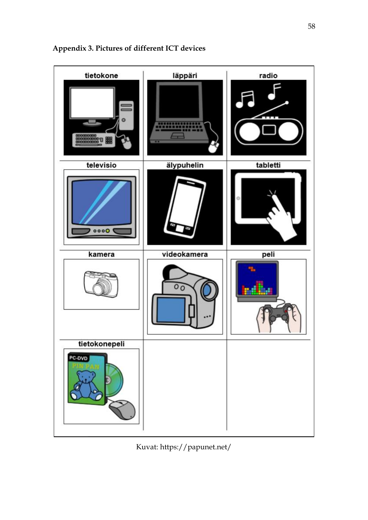

<span id="page-57-0"></span>**Appendix 3. Pictures of different ICT devices**

Kuvat: https://papunet.net/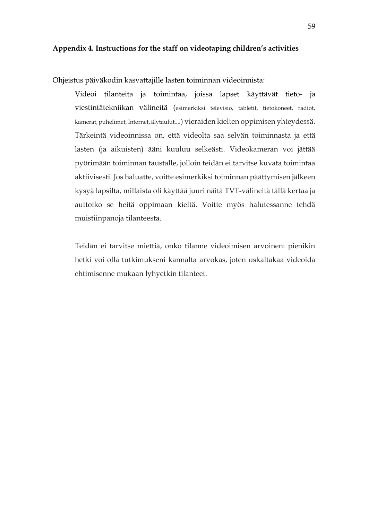<span id="page-58-0"></span>Ohjeistus päiväkodin kasvattajille lasten toiminnan videoinnista:

Videoi tilanteita ja toimintaa, joissa lapset käyttävät tieto- ja viestintätekniikan välineitä (esimerkiksi televisio, tabletit, tietokoneet, radiot, kamerat, puhelimet, Internet, älytaulut....) vieraiden kielten oppimisen yhteydessä. Tärkeintä videoinnissa on, että videolta saa selvän toiminnasta ja että lasten (ja aikuisten) ääni kuuluu selkeästi. Videokameran voi jättää pyörimään toiminnan taustalle, jolloin teidän ei tarvitse kuvata toimintaa aktiivisesti. Jos haluatte, voitte esimerkiksi toiminnan päättymisen jälkeen kysyä lapsilta, millaista oli käyttää juuri näitä TVT-välineitä tällä kertaa ja auttoiko se heitä oppimaan kieltä. Voitte myös halutessanne tehdä muistiinpanoja tilanteesta.

Teidän ei tarvitse miettiä, onko tilanne videoimisen arvoinen: pienikin hetki voi olla tutkimukseni kannalta arvokas, joten uskaltakaa videoida ehtimisenne mukaan lyhyetkin tilanteet.